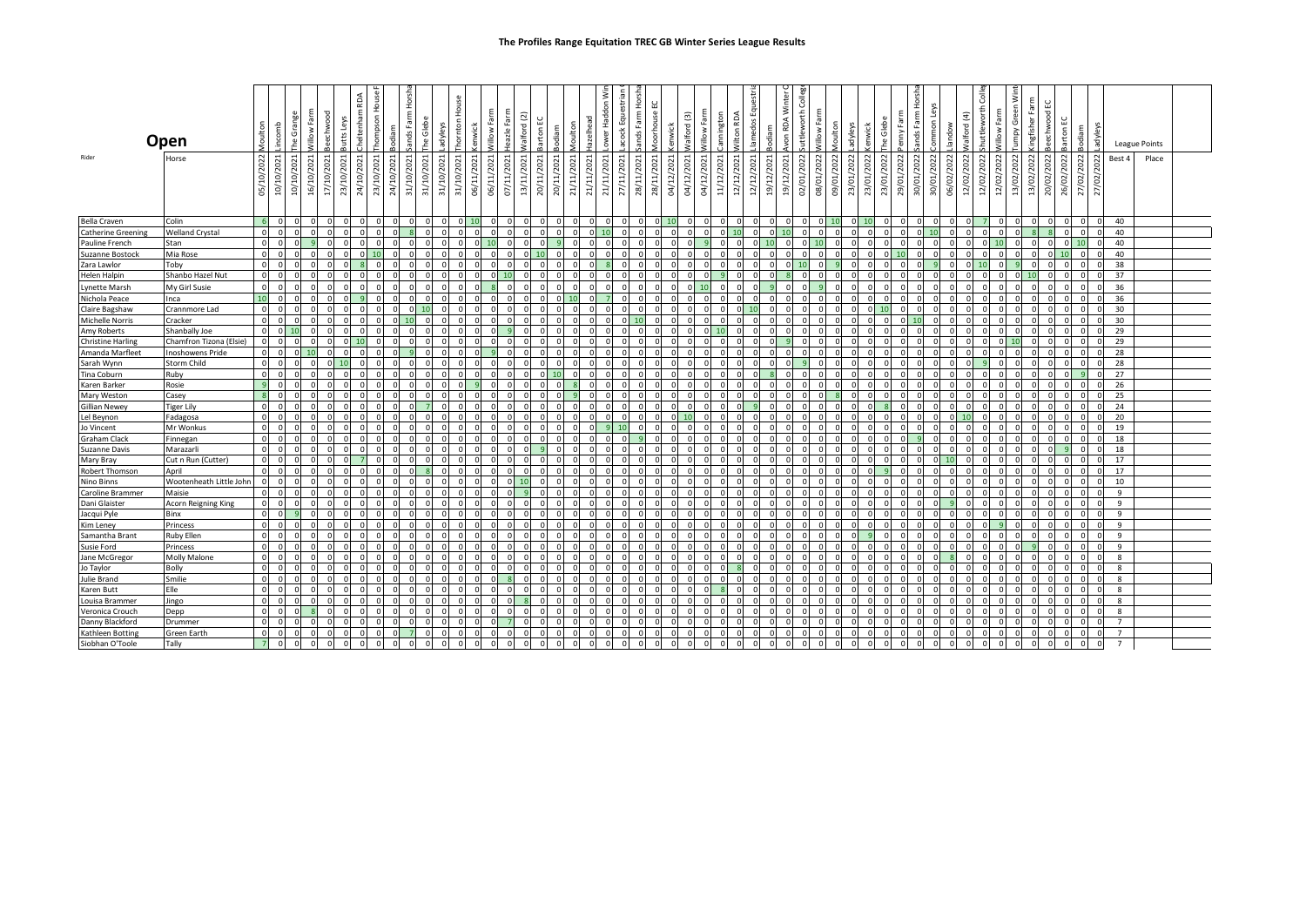|                              | Open                    | Moulton                    | incomb                  | Grange<br>ە<br>م |                       | eechwood     | Butts Leys | Cheltenham RDA | hompson House | odiam          | řg                         | lebe<br>G<br>۴e | adyleys    | House<br>Thornton | <b>kenwick</b> | <b>Nillow Farm</b> | azle     | Walford (2) | <b>Barton EC</b> | Moulton<br>Bodiam | lazelhead                | š<br><b>TeH</b> | 효                             | 훈<br>ands Farm | 닚<br><b>Aoorhouse</b> | enwick     | Walford (3) | Willow Farm | Wilton RDA               | uestri<br>lamedos Eq | odiam                | von RDA Winter | हैं<br>uttleworth |          | Moulton    | adyleys<br>enwick | The Glebe                | ۲m<br>$\geq$ | ő        | ommonLe    | Iandow     | Valford (4) | shuttleworth Colle<br>Villow Farm | ξ<br>ō     | lingfisher Fa | 3 eechwood EC        | Barton EC  | Bodiam     | 공          |                   | League Points |       |  |
|------------------------------|-------------------------|----------------------------|-------------------------|------------------|-----------------------|--------------|------------|----------------|---------------|----------------|----------------------------|-----------------|------------|-------------------|----------------|--------------------|----------|-------------|------------------|-------------------|--------------------------|-----------------|-------------------------------|----------------|-----------------------|------------|-------------|-------------|--------------------------|----------------------|----------------------|----------------|-------------------|----------|------------|-------------------|--------------------------|--------------|----------|------------|------------|-------------|-----------------------------------|------------|---------------|----------------------|------------|------------|------------|-------------------|---------------|-------|--|
| Rider                        | Horse                   |                            |                         |                  |                       |              |            |                |               |                |                            |                 |            |                   |                |                    |          |             |                  |                   |                          |                 |                               |                |                       |            |             |             |                          |                      |                      |                |                   |          |            |                   |                          |              | ನ        |            |            |             |                                   |            |               |                      |            |            |            | Best 4            |               | Place |  |
|                              |                         | 05/10/2022                 | 10/10/2021              | 10/10/2021       | ØĽ,<br>$\mathfrak{g}$ | 17/10/2021   | 23/10/2021 | 24/10/2021     | 23/10/2021    | 24/10/2021     | 31/10/2021                 | 31/10/2021      | 31/10/2021 | 31/10/2021        | 06/11/2021     | 06/11/2021         | 07/11/   | 13/11/2021  | 20/11/2021       | 20/11/2021        | 21/11/2021<br>21/11/2021 | 21/11/2021      | /2021<br>Ή,<br>$\overline{z}$ | 28/11/2021     | 28/11/2021            | 04/12/2021 | 04/12/2021  | 04/12/2021  | 12/12/2021<br>11/12/2021 | 12/12/2021           | 19/12/2021           | 19/12/2021     | 02/01/2022        | /10/80   | 09/01/2022 | 23/01/2022        | 23/01/2022<br>23/01/2022 | 29/01/2022   | 30/01/20 | 30/01/2022 | 06/02/2022 | 12/02/2022  | 12/02/2022<br>12/02/2022          | 13/02/2022 | 13/02/2022    | 20/02/2022           | 26/02/2022 | 27/02/2022 | 27/02/2022 |                   |               |       |  |
| <b>Bella Craven</b>          | Colin                   |                            |                         |                  |                       |              | $\circ$    |                |               |                | $\overline{0}$             |                 | $\Omega$   | $\Omega$          | 10             | $\Omega$           |          |             | $\mathbf 0$      | $\Omega$          |                          |                 |                               |                |                       |            |             |             |                          | $\Omega$             | $\Omega$<br>$\Omega$ |                | $\circ$           |          | $0$ 10     | $\circ$           | 10                       |              |          |            |            | $\Omega$    |                                   | $\Omega$   |               | $\Omega$             |            |            |            | 40                |               |       |  |
| <b>Catherine Greening</b>    | <b>Welland Crystal</b>  | $\Omega$                   |                         |                  |                       |              | $\Omega$   |                |               |                |                            |                 |            |                   |                |                    |          |             |                  |                   |                          |                 |                               |                |                       |            |             |             |                          |                      |                      |                | $\Omega$          | $\Omega$ |            | $\Omega$          | $\mathsf{C}$             |              |          | 10         |            |             |                                   |            |               |                      |            |            |            | 40                |               |       |  |
| Pauline French               | Stan                    | $\overline{0}$             |                         |                  |                       |              |            |                |               |                |                            |                 |            |                   |                |                    |          |             |                  |                   |                          |                 |                               |                |                       |            |             |             |                          |                      |                      |                |                   |          |            |                   |                          |              |          |            |            |             |                                   |            |               |                      |            |            |            | 40                |               |       |  |
| Suzanne Bostock              | Mia Rose                | $\overline{0}$             |                         |                  |                       |              | $\Omega$   |                |               |                |                            |                 |            |                   |                |                    |          |             |                  |                   |                          |                 |                               |                |                       |            |             |             |                          |                      |                      |                |                   | $\Omega$ |            | $\Omega$          |                          |              |          |            |            |             |                                   |            |               | $\Omega$             |            |            |            | 40                |               |       |  |
| Zara Lawlor                  | Toby                    | $\overline{\mathbf{0}}$    |                         |                  |                       |              |            |                |               |                |                            |                 |            |                   |                |                    |          |             |                  |                   |                          |                 |                               |                |                       |            |             |             |                          |                      |                      |                |                   |          |            |                   |                          |              |          |            |            | $\Omega$    |                                   |            |               |                      |            |            |            | 38                |               |       |  |
| Helen Halpin                 | Shanbo Hazel Nut        | $\circ$                    |                         |                  |                       |              | $\Omega$   |                |               |                |                            |                 |            |                   |                |                    |          |             |                  | $\Omega$          |                          |                 |                               |                |                       |            |             |             |                          |                      |                      |                | $\Omega$          |          |            | $\Omega$          | $\Omega$                 |              |          |            |            | $\Omega$    | $\Omega$                          |            |               |                      |            |            |            | 37                |               |       |  |
| Lynette Marsh                | My Girl Susie           | $\Omega$                   |                         |                  |                       |              |            |                |               |                |                            |                 |            |                   |                |                    |          |             |                  |                   |                          |                 |                               |                |                       |            |             |             |                          |                      |                      |                |                   |          |            |                   |                          |              |          |            |            |             |                                   |            |               |                      |            |            |            | 36                |               |       |  |
| Nichola Peace                | Inca                    | 10                         |                         |                  |                       |              |            |                |               |                |                            |                 |            |                   |                |                    |          |             |                  |                   |                          |                 |                               |                |                       |            |             |             |                          |                      |                      |                |                   |          |            |                   |                          |              |          |            |            |             |                                   |            |               |                      |            |            |            | 36                |               |       |  |
| Claire Bagshaw               | Crannmore Lad           | $\Omega$                   |                         |                  |                       |              |            |                |               |                |                            |                 |            |                   |                |                    |          |             |                  |                   |                          |                 |                               |                |                       |            |             |             |                          |                      |                      |                |                   |          |            | $\Omega$          |                          |              |          |            |            |             |                                   |            |               |                      |            |            |            | 30                |               |       |  |
| Michelle Norris              | Cracker                 | $\Omega$                   |                         |                  |                       |              |            |                |               |                |                            |                 |            |                   |                |                    |          |             |                  |                   |                          |                 |                               |                |                       |            |             |             |                          |                      |                      |                |                   |          |            |                   |                          |              |          |            |            |             |                                   |            |               |                      |            |            |            | 30                |               |       |  |
| Amy Roberts                  | Shanbally Joe           | $\overline{0}$             |                         |                  |                       |              |            |                |               |                |                            |                 |            |                   |                |                    |          |             |                  |                   |                          |                 |                               |                |                       |            |             |             |                          |                      |                      |                |                   |          |            | $\Omega$          |                          |              |          |            |            |             |                                   |            |               | $\Omega$             |            |            |            | 29                |               |       |  |
| <b>Christine Harling</b>     | Chamfron Tizona (Elsie) | $\Omega$                   |                         |                  |                       |              | $\Omega$   |                |               |                |                            |                 |            |                   |                |                    |          |             |                  |                   |                          |                 |                               |                |                       |            |             |             |                          |                      |                      |                |                   |          |            |                   |                          |              |          |            |            |             |                                   |            |               |                      |            |            |            | 29                |               |       |  |
| Amanda Marfleet              | <b>Inoshowens Pride</b> | $\Omega$                   |                         |                  |                       |              | $\Omega$   |                |               |                |                            |                 |            |                   |                |                    |          |             |                  |                   |                          |                 |                               |                |                       |            |             |             |                          |                      |                      |                |                   |          |            | n                 |                          |              |          |            |            | $\Omega$    |                                   |            |               |                      |            |            |            | 28                |               |       |  |
| Sarah Wynn                   | <b>Storm Child</b>      | $\circ$                    |                         |                  |                       |              | 10         |                |               |                |                            |                 |            |                   |                |                    |          |             |                  |                   |                          |                 |                               |                |                       |            |             |             |                          |                      |                      |                |                   |          |            | $\Omega$          |                          |              |          |            |            |             |                                   |            |               |                      |            |            |            | 28                |               |       |  |
| Tina Coburn                  | Ruby                    | $\Omega$                   |                         |                  |                       |              |            |                |               |                |                            |                 |            |                   |                |                    |          |             |                  |                   |                          |                 |                               |                |                       |            |             |             |                          |                      |                      |                |                   |          |            |                   |                          |              |          |            |            |             |                                   |            |               |                      |            |            |            | 27                |               |       |  |
| Karen Barker                 | Rosie                   | $\overline{9}$             |                         |                  |                       |              | $\Omega$   |                |               |                |                            |                 |            |                   |                |                    |          |             |                  |                   |                          |                 |                               |                |                       |            |             |             |                          |                      |                      |                |                   |          |            | $\Omega$          |                          |              |          |            |            |             |                                   |            |               | $\Omega$             |            |            |            | 26                |               |       |  |
| Mary Weston                  | Casey                   | $\overline{\mathbf{8}}$    |                         |                  |                       |              | $\Omega$   |                |               |                |                            |                 |            |                   |                |                    |          |             |                  |                   |                          |                 |                               |                |                       |            |             |             |                          |                      |                      |                |                   |          |            |                   |                          |              |          |            |            |             |                                   |            |               | $\Omega$             |            |            |            | 25                |               |       |  |
| Gillian Newey                | <b>Tiger Lily</b>       | $\overline{0}$             |                         |                  |                       |              |            |                |               |                |                            |                 |            |                   |                |                    |          |             |                  |                   |                          |                 |                               |                |                       |            |             |             |                          |                      |                      |                |                   |          |            |                   |                          |              |          |            |            |             |                                   |            |               |                      |            |            |            | 24                |               |       |  |
| Lel Beynon                   | Fadagosa                | $\circ$                    |                         |                  |                       |              |            |                |               |                |                            |                 |            |                   |                |                    |          |             |                  |                   |                          |                 |                               |                |                       |            |             |             |                          |                      |                      |                |                   |          |            |                   |                          |              |          |            |            |             |                                   |            |               |                      |            |            |            | 20                |               |       |  |
| Jo Vincent                   | Mr Wonkus               | $\Omega$                   |                         |                  |                       |              |            |                |               |                |                            |                 |            |                   |                |                    |          |             |                  |                   |                          |                 |                               |                |                       |            |             |             |                          |                      |                      |                |                   |          |            |                   |                          |              |          |            |            |             |                                   |            |               |                      |            |            |            | 19                |               |       |  |
| Graham Clack                 | Finnegan                | $\circ$                    |                         |                  |                       |              |            |                |               |                |                            |                 |            |                   |                |                    |          |             |                  |                   |                          |                 |                               |                |                       |            |             |             |                          |                      |                      |                |                   |          |            | $\Omega$          |                          |              |          |            |            |             |                                   |            |               | $\Omega$             |            |            |            | 18                |               |       |  |
| Suzanne Davis                | Marazarli               | $\overline{0}$             |                         |                  |                       |              |            |                |               |                |                            |                 |            |                   |                |                    |          |             |                  |                   |                          |                 |                               |                |                       |            |             |             |                          |                      |                      |                |                   |          |            |                   |                          |              |          |            |            |             |                                   |            |               |                      |            |            |            | 18                |               |       |  |
| Mary Bray                    | Cut n Run (Cutter)      | $\Omega$                   |                         |                  |                       |              |            |                |               |                |                            |                 |            |                   |                |                    |          |             |                  |                   |                          |                 |                               |                |                       |            |             |             |                          |                      |                      |                |                   | $\Omega$ |            | $\Omega$          |                          |              |          |            |            |             |                                   |            |               |                      |            |            |            | 17                |               |       |  |
| Robert Thomson               | April                   | $\Omega$                   |                         |                  |                       |              | $\Omega$   |                |               |                |                            |                 |            |                   |                |                    |          |             |                  | $\Omega$          |                          |                 |                               |                |                       |            |             |             |                          |                      |                      |                | $\Omega$          |          |            | $\Omega$          |                          |              |          |            |            |             |                                   |            |               |                      |            |            |            | 17                |               |       |  |
| Nino Binns                   | Wootenheath Little John | $\circ$                    |                         |                  |                       |              |            |                |               |                |                            |                 |            |                   |                |                    |          |             |                  |                   |                          |                 |                               |                |                       |            |             |             |                          |                      |                      |                |                   |          |            |                   |                          |              |          |            |            |             |                                   |            |               |                      |            |            |            | 10                |               |       |  |
| Caroline Brammer             | Maisie                  | $\Omega$                   |                         |                  |                       |              |            |                |               |                |                            |                 |            |                   |                |                    |          |             |                  |                   |                          |                 |                               |                |                       |            |             |             |                          |                      |                      |                |                   |          |            |                   |                          |              |          |            |            |             |                                   |            |               |                      |            |            |            | $\overline{9}$    |               |       |  |
| Dani Glaister                | Acorn Reigning King     | $\Omega$                   |                         |                  |                       |              |            |                |               |                |                            |                 |            |                   |                |                    |          |             |                  |                   |                          |                 |                               |                |                       |            |             |             |                          |                      |                      |                |                   |          |            |                   |                          |              |          |            |            |             |                                   |            |               |                      |            |            |            | $\overline{9}$    |               |       |  |
| Jacqui Pyle                  | Binx                    | $\overline{0}$             |                         |                  |                       |              |            |                |               |                |                            |                 |            |                   |                |                    |          |             |                  |                   |                          |                 |                               |                |                       |            |             |             |                          |                      |                      |                |                   |          |            | $\Omega$          |                          |              |          |            |            |             |                                   |            |               |                      |            |            |            | 9                 |               |       |  |
| Kim Leney                    | Princess                | $\Omega$                   |                         |                  |                       |              | $\Omega$   |                |               |                |                            |                 |            |                   |                |                    |          |             |                  |                   |                          |                 |                               |                |                       |            |             |             |                          |                      |                      |                |                   |          |            |                   |                          |              |          |            |            |             |                                   |            |               |                      |            |            |            | $\overline{9}$    |               |       |  |
| Samantha Brant               | <b>Ruby Ellen</b>       | $\circ$<br>$\Omega$        |                         |                  |                       | $\Omega$     | $\Omega$   |                |               |                |                            |                 |            |                   |                |                    |          |             |                  | $\Omega$          |                          |                 |                               |                |                       |            |             |             |                          |                      |                      |                |                   |          |            | $\Omega$          |                          |              |          |            |            | $\Omega$    |                                   |            |               |                      |            |            |            | 9                 |               |       |  |
| Susie Ford                   | Princess                |                            |                         |                  |                       |              |            |                |               |                |                            |                 |            |                   |                |                    |          |             |                  |                   |                          |                 |                               |                |                       |            |             |             |                          |                      |                      |                |                   |          |            |                   |                          |              |          |            |            |             |                                   |            |               |                      |            |            |            | $\overline{9}$    |               |       |  |
| Jane McGregor                | Molly Malone            | $\Omega$                   |                         |                  |                       |              |            |                |               |                |                            |                 |            |                   |                |                    |          |             |                  |                   |                          |                 |                               |                |                       |            |             |             |                          |                      |                      |                |                   |          |            |                   |                          |              |          |            |            |             |                                   |            |               |                      |            |            |            | $\mathbf{8}$      |               |       |  |
| Jo Taylor                    | Bolly                   | $\overline{0}$<br>$\Omega$ |                         |                  |                       |              | $\Omega$   |                |               |                |                            |                 |            |                   |                |                    |          |             |                  |                   |                          |                 |                               |                |                       |            |             |             |                          |                      |                      |                |                   |          |            | $\Omega$          |                          |              |          |            |            |             |                                   |            |               | $\Omega$             |            |            |            | 8<br>$\mathbf{g}$ |               |       |  |
| Julie Brand                  | Smilie<br>Elle          | $\overline{0}$             |                         |                  |                       |              | $\Omega$   |                |               |                |                            |                 |            |                   |                |                    |          |             |                  |                   |                          |                 |                               |                |                       |            |             |             |                          |                      |                      |                |                   |          |            | $\Omega$          |                          |              |          |            |            |             |                                   |            |               |                      |            |            |            |                   |               |       |  |
| Karen Butt<br>Louisa Brammer | Jingo                   | $\Omega$                   |                         |                  |                       |              | $\Omega$   |                |               |                |                            |                 |            |                   |                |                    |          |             |                  | $\Omega$          |                          |                 |                               |                |                       |            |             |             |                          |                      |                      |                | $\Omega$          | n        |            | $\Omega$          | $\Omega$                 |              |          |            |            |             |                                   |            |               | $\Omega$             |            |            |            | 8<br>8            |               |       |  |
| Veronica Crouch              | Depp                    | $\Omega$                   |                         |                  |                       |              |            |                |               |                |                            |                 |            |                   |                |                    |          |             |                  |                   |                          |                 |                               |                |                       |            |             |             |                          |                      |                      |                | $\Omega$          |          |            |                   |                          |              |          |            |            |             |                                   |            |               |                      |            |            |            | $\mathbf{8}$      |               |       |  |
| Danny Blackford              | Drummer                 | $\Omega$                   |                         |                  |                       |              | $\Omega$   |                |               |                |                            |                 |            |                   |                |                    |          |             |                  |                   |                          |                 |                               |                |                       |            |             |             |                          |                      |                      |                |                   |          |            | $\Omega$          |                          |              |          |            |            |             |                                   |            |               |                      |            |            |            | $\overline{7}$    |               |       |  |
| Kathleen Botting             | Green Earth             | $\overline{0}$             |                         |                  |                       |              | $\Omega$   |                |               |                |                            |                 |            |                   |                |                    | $\Omega$ |             |                  |                   |                          |                 |                               |                |                       |            |             |             |                          |                      |                      |                | $\Omega$          | $\Omega$ |            | $\Omega$          |                          |              |          |            |            |             |                                   |            |               | $\Omega$             |            |            |            | $\overline{7}$    |               |       |  |
| Siobhan O'Toole              | Tally                   | $\overline{7}$             | $\overline{\mathbf{0}}$ |                  | $\Omega$              | $\mathbf{0}$ | $\circ$    | $\Omega$       |               | $\overline{0}$ | $\overline{0}$<br>$\Omega$ |                 | $\Omega$   | $\Omega$          |                | $\Omega$           | $\Omega$ | $\Omega$    | $\Omega$         | $\Omega$          |                          |                 |                               |                |                       |            |             |             |                          |                      |                      |                | $\overline{0}$    | $\Omega$ |            | $\Omega$          | $\Omega$                 |              |          |            |            |             |                                   | $\Omega$   |               | $\Omega$<br>$\Omega$ |            |            |            | $\overline{7}$    |               |       |  |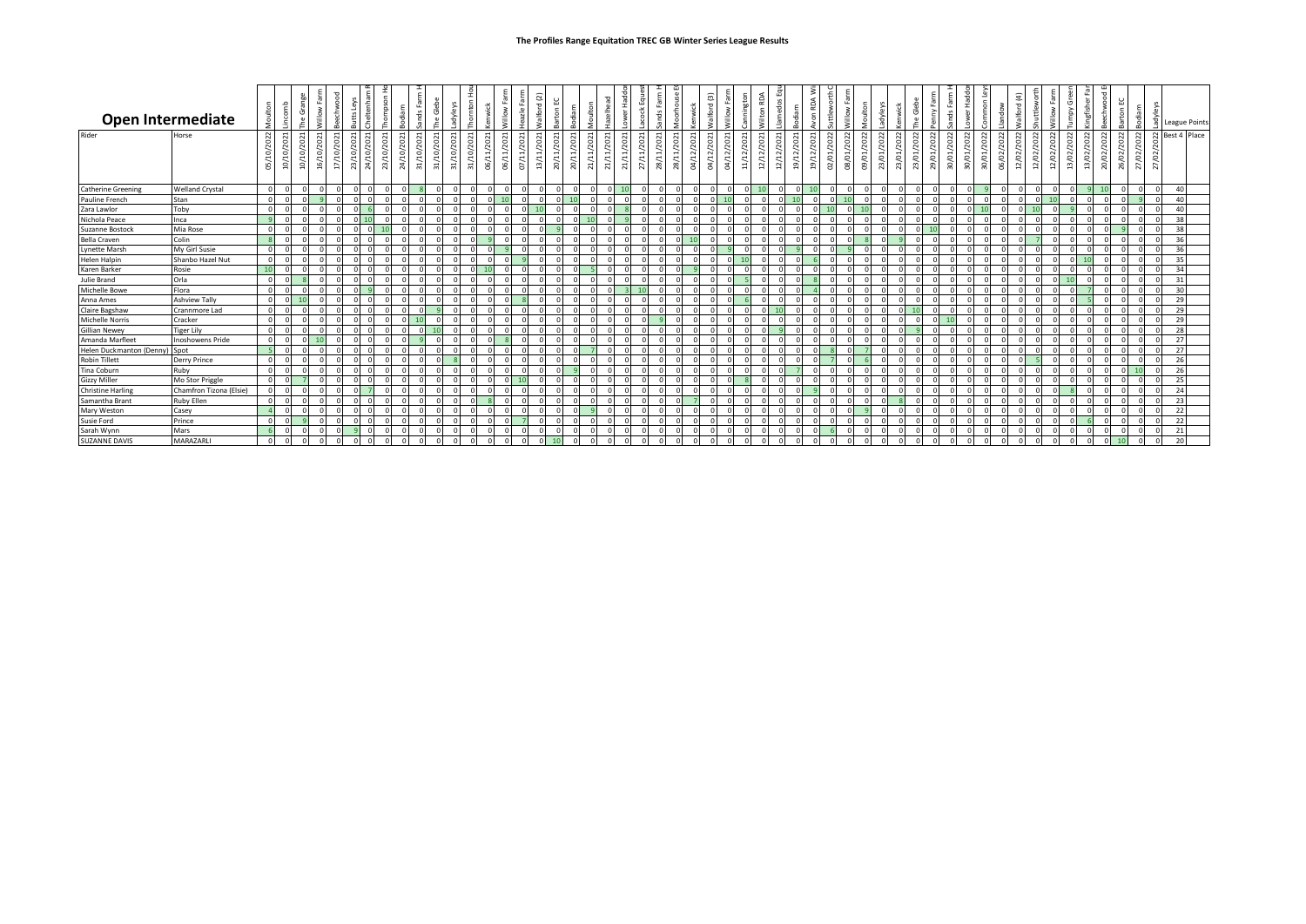| <b>Open Intermediate</b>      |                         |            |            |                                |                                                     |            | $\overline{\mathbf{v}}$ |                                  |           |              |                             |                                               | 푽                       | -3         |                                | $\overline{c}$<br>$\mathbf{\sigma}$ |            |              | ower Hadd  | $\mathbf{\mathsf{v}}$     | 묘          |                     |                                               | ම         |                             | £<br>F                   |                                        |                                | 3<br>ဥ       |            |                          |                     | adyleys    |            |                   | ≽          | ds Fa               |            |                                       | $\overline{a}$<br>$\overline{\sigma}$<br>$rac{1}{2}$ |                                    |                          | O                    | ÷          |                     |                        | odiam      | Ř          | <b>League Points</b> |
|-------------------------------|-------------------------|------------|------------|--------------------------------|-----------------------------------------------------|------------|-------------------------|----------------------------------|-----------|--------------|-----------------------------|-----------------------------------------------|-------------------------|------------|--------------------------------|-------------------------------------|------------|--------------|------------|---------------------------|------------|---------------------|-----------------------------------------------|-----------|-----------------------------|--------------------------|----------------------------------------|--------------------------------|--------------|------------|--------------------------|---------------------|------------|------------|-------------------|------------|---------------------|------------|---------------------------------------|------------------------------------------------------|------------------------------------|--------------------------|----------------------|------------|---------------------|------------------------|------------|------------|----------------------|
| Rider                         | Horse                   | 05/10/2022 | 10/10/2021 | $\circ$<br>$\overline{ }$<br>ğ | $\overline{\phantom{0}}$<br>$\sim$<br>ö<br>ă<br>ট্র | 17/10/2021 | 23/10/2021              | $\mathbf{\ddot{}}$<br>24/10/2021 | 23/10/202 | 20<br>24/10/ | $\blacksquare$<br>31/10/202 | 31/10/2021<br>$\sim$<br>ë<br>1/10/2<br>$\sim$ | 06/11/2021<br>31/10/202 | 06/11/2021 | /202<br>$\overline{ }$<br>07/1 | 13/11/2021<br>20/11/2021            | 20/11/2021 | /202<br>21/1 | 21/11/2021 | 21/11/2021<br>$\mathbf -$ | 27/11/2021 | $\mathbf{r}$<br>28) | 28/11/2021<br>$\blacksquare$<br>202<br>04/12/ | 04/12/202 | ÷<br>202<br>$\sim$<br>04/12 | 11/12/2021<br>12/12/2021 | $\sim$<br>ö<br>$\sim$<br>$\frac{2}{1}$ | $\blacksquare$<br>202<br>19/12 | 19/12/2021   | 02/01/2022 | $\sim$<br>/202<br>08/01/ | $\sim$<br>09/01/202 | 23/01/2022 | 23/01/2022 | $^{50}$<br>23/01, | 29/01/2022 | $\sim$<br>30/01/202 | 30/01/2022 | $\sim$<br>06/02/2022<br>202<br>30/01, | 12/02/2022                                           | $\sim$<br>$\overline{5}$<br>12/02/ | 6<br>2/02,<br>$\ddot{ }$ | $\sim$<br>13/02/2022 | 13/02/2022 | $\approx$<br>20/02/ | $\sim$<br>202<br>26/02 | 27/02/2022 | 27/02/2022 | Best 4 Place         |
| <b>Catherine Greening</b>     | <b>Welland Crystal</b>  | $\sqrt{ }$ |            |                                |                                                     | $\sqrt{ }$ |                         |                                  |           |              |                             |                                               | $\sqrt{ }$              |            |                                |                                     | $\Omega$   |              | $\Omega$   | 10                        | $\Omega$   |                     | $\Omega$                                      |           |                             | $\Omega$                 |                                        |                                | $0 \quad 10$ |            | $\Omega$                 |                     | - C        |            |                   |            | $\Omega$            |            | $\Omega$                              |                                                      |                                    |                          |                      |            |                     |                        | $\Omega$   |            | 40                   |
| Pauline French                | Stan                    |            |            |                                |                                                     |            |                         |                                  |           |              |                             |                                               |                         |            |                                |                                     | $\Omega$   |              |            |                           |            |                     |                                               |           |                             |                          |                                        |                                |              |            |                          |                     |            |            |                   |            |                     |            |                                       |                                                      |                                    |                          |                      |            |                     |                        |            |            | 40                   |
| Zara Lawlor                   | Toby                    |            |            |                                |                                                     |            |                         |                                  |           |              |                             |                                               |                         |            |                                |                                     |            |              |            |                           |            |                     |                                               |           |                             |                          |                                        |                                |              |            |                          |                     |            |            |                   |            |                     |            |                                       |                                                      |                                    |                          |                      |            |                     |                        | f.         |            | 40                   |
| Nichola Peace                 | Inca                    |            |            |                                |                                                     |            |                         |                                  |           |              |                             |                                               |                         |            |                                |                                     |            |              |            |                           |            |                     |                                               |           |                             |                          |                                        |                                |              |            |                          |                     |            |            |                   |            |                     |            |                                       |                                                      |                                    |                          |                      |            |                     |                        |            |            | 38                   |
| Suzanne Bostock               | Mia Rose                |            |            |                                |                                                     |            |                         |                                  |           |              |                             |                                               |                         |            |                                |                                     |            |              |            |                           |            |                     |                                               |           |                             |                          |                                        |                                |              |            |                          |                     |            |            |                   |            |                     |            |                                       |                                                      |                                    |                          |                      |            |                     |                        |            |            |                      |
| <b>Bella Craven</b>           | Colin                   |            |            |                                |                                                     |            |                         |                                  |           |              |                             |                                               |                         |            |                                |                                     |            |              |            |                           |            |                     |                                               |           |                             |                          |                                        |                                |              |            |                          |                     |            |            |                   |            |                     |            |                                       |                                                      |                                    |                          |                      |            |                     |                        |            |            | 36                   |
| <b>Lynette Marsh</b>          | My Girl Susie           |            |            |                                |                                                     |            |                         |                                  |           |              |                             |                                               |                         |            |                                |                                     |            |              |            |                           |            |                     |                                               |           |                             |                          |                                        |                                |              |            |                          |                     |            |            |                   |            |                     |            |                                       |                                                      |                                    |                          |                      |            |                     |                        |            |            | 36                   |
| <b>Helen Halpin</b>           | Shanbo Hazel Nut        |            |            |                                |                                                     |            |                         |                                  |           |              |                             |                                               |                         |            |                                |                                     |            |              |            |                           |            |                     |                                               |           |                             |                          |                                        |                                |              |            |                          |                     |            |            |                   |            |                     |            |                                       |                                                      |                                    |                          |                      |            |                     |                        |            |            | 35                   |
| Karen Barker                  | Rosie                   | 10         |            |                                |                                                     |            |                         |                                  |           |              |                             |                                               |                         |            |                                |                                     |            |              |            |                           |            |                     |                                               |           |                             |                          |                                        |                                |              |            |                          |                     |            |            |                   |            |                     |            |                                       |                                                      |                                    |                          |                      |            |                     |                        |            |            | 34                   |
| Julie Brand                   | Orla                    |            |            |                                |                                                     |            |                         |                                  |           |              |                             |                                               |                         |            |                                |                                     |            |              |            |                           |            |                     |                                               |           |                             |                          |                                        |                                |              |            |                          |                     |            |            |                   |            |                     |            |                                       |                                                      |                                    |                          |                      |            |                     |                        |            |            | 31                   |
| <b>Michelle Bowe</b>          | Flora                   |            |            |                                |                                                     |            |                         |                                  |           |              |                             |                                               |                         |            |                                |                                     |            |              |            |                           |            |                     |                                               |           |                             |                          |                                        |                                |              |            |                          |                     |            |            |                   |            |                     |            |                                       |                                                      |                                    |                          |                      |            |                     |                        |            |            | 30                   |
| Anna Ames                     | <b>Ashview Tally</b>    |            |            |                                |                                                     |            |                         |                                  |           |              |                             |                                               |                         |            |                                |                                     |            |              |            |                           |            |                     |                                               |           |                             |                          |                                        |                                |              |            |                          |                     |            |            |                   |            |                     |            |                                       |                                                      |                                    |                          |                      |            |                     |                        |            |            | $\overline{2}$       |
| Claire Bagshaw                | Crannmore Lad           |            |            |                                |                                                     |            |                         |                                  |           |              |                             |                                               |                         |            |                                |                                     |            |              |            |                           |            |                     |                                               |           |                             |                          |                                        |                                |              |            |                          |                     |            |            |                   |            |                     |            |                                       |                                                      |                                    |                          |                      |            |                     |                        |            |            | 29                   |
| <b>Michelle Norris</b>        | Cracker                 |            |            |                                |                                                     |            |                         |                                  |           |              |                             |                                               |                         |            |                                |                                     |            |              |            |                           |            |                     |                                               |           |                             |                          |                                        |                                |              |            |                          |                     |            |            |                   |            | 10                  |            |                                       |                                                      |                                    |                          |                      |            |                     |                        |            |            | 29                   |
| <b>Gillian Newey</b>          | <b>Tiger Lily</b>       |            |            |                                |                                                     |            |                         |                                  |           |              |                             |                                               |                         |            |                                |                                     |            |              |            |                           |            |                     |                                               |           |                             |                          |                                        |                                |              |            |                          |                     |            |            |                   |            | $\cap$              |            |                                       |                                                      |                                    |                          |                      |            |                     |                        |            |            | 28                   |
| Amanda Marfleet               | <b>Inoshowens Pride</b> |            |            |                                |                                                     |            |                         |                                  |           |              |                             |                                               |                         |            |                                |                                     |            |              |            |                           |            |                     |                                               |           |                             |                          |                                        |                                |              |            |                          |                     |            |            |                   |            |                     |            |                                       |                                                      |                                    |                          |                      |            |                     |                        |            |            | 27                   |
| Helen Duckmanton (Denny) Spot |                         |            |            |                                |                                                     |            |                         |                                  |           |              |                             |                                               |                         |            |                                |                                     |            |              |            |                           |            |                     |                                               |           |                             |                          |                                        |                                |              |            |                          |                     |            |            |                   |            |                     |            |                                       |                                                      |                                    |                          |                      |            |                     |                        |            |            | 27                   |
| <b>Robin Tillett</b>          | <b>Derry Prince</b>     |            |            |                                |                                                     |            |                         |                                  |           |              |                             |                                               |                         |            |                                |                                     |            |              |            |                           |            |                     |                                               |           |                             |                          |                                        |                                |              |            |                          |                     |            |            |                   |            |                     |            |                                       |                                                      |                                    |                          |                      |            |                     |                        | f.         |            | 26                   |
| Tina Coburn                   | Ruby                    |            |            |                                |                                                     |            |                         |                                  |           |              |                             |                                               |                         |            |                                |                                     |            |              |            |                           |            |                     |                                               |           |                             |                          |                                        |                                |              |            |                          |                     |            |            |                   |            |                     |            |                                       |                                                      |                                    |                          |                      |            |                     |                        | 10         |            | 26                   |
| <b>Gizzy Miller</b>           | Mo Stor Priggle         |            |            |                                |                                                     |            |                         |                                  |           |              |                             |                                               |                         |            | 10                             |                                     |            |              |            |                           |            |                     |                                               |           |                             |                          |                                        |                                |              |            |                          |                     |            |            |                   |            |                     |            |                                       |                                                      |                                    |                          |                      |            |                     |                        | f.         |            | 25                   |
| <b>Christine Harling</b>      | Chamfron Tizona (Elsie) |            |            |                                |                                                     |            |                         |                                  |           |              |                             |                                               |                         |            |                                |                                     |            |              |            |                           |            |                     |                                               |           |                             |                          |                                        |                                |              |            |                          |                     |            |            |                   |            | $\Omega$            |            |                                       |                                                      |                                    |                          |                      |            |                     |                        | $\Omega$   |            | 24                   |
| Samantha Brant                | <b>Ruby Ellen</b>       |            |            |                                |                                                     |            |                         |                                  |           |              |                             |                                               |                         |            |                                |                                     |            |              |            |                           |            |                     |                                               |           |                             |                          |                                        |                                |              |            |                          |                     |            |            |                   |            |                     |            |                                       |                                                      |                                    |                          |                      |            |                     |                        |            |            | 23                   |
| Mary Westor                   | Casey                   |            |            |                                |                                                     |            |                         |                                  |           |              |                             |                                               |                         |            |                                |                                     |            |              |            |                           |            |                     |                                               |           |                             |                          |                                        |                                |              |            |                          |                     |            |            |                   |            |                     |            |                                       |                                                      |                                    |                          |                      |            |                     |                        | f.         |            | 22                   |
| Susie Ford                    | Prince                  |            |            |                                |                                                     |            |                         |                                  |           |              |                             |                                               |                         |            |                                |                                     | $\Omega$   |              |            |                           |            |                     |                                               |           |                             |                          |                                        |                                |              |            |                          |                     |            |            |                   |            |                     |            | $\Omega$                              |                                                      |                                    |                          |                      |            |                     |                        | f.         |            | 22                   |
| Sarah Wynn                    | Mars                    |            |            |                                |                                                     |            |                         |                                  |           |              |                             |                                               |                         |            |                                |                                     |            |              |            |                           |            |                     |                                               |           |                             |                          |                                        |                                |              |            |                          |                     |            |            |                   |            |                     |            |                                       |                                                      |                                    |                          |                      |            |                     |                        | f.         |            | 21                   |
| <b>SUZANNE DAVIS</b>          | MARAZARLI               |            |            |                                |                                                     |            |                         |                                  |           |              |                             |                                               |                         |            |                                |                                     |            |              |            |                           |            |                     |                                               |           |                             |                          |                                        |                                |              |            |                          |                     |            |            |                   |            |                     |            |                                       |                                                      |                                    |                          |                      |            |                     |                        |            |            |                      |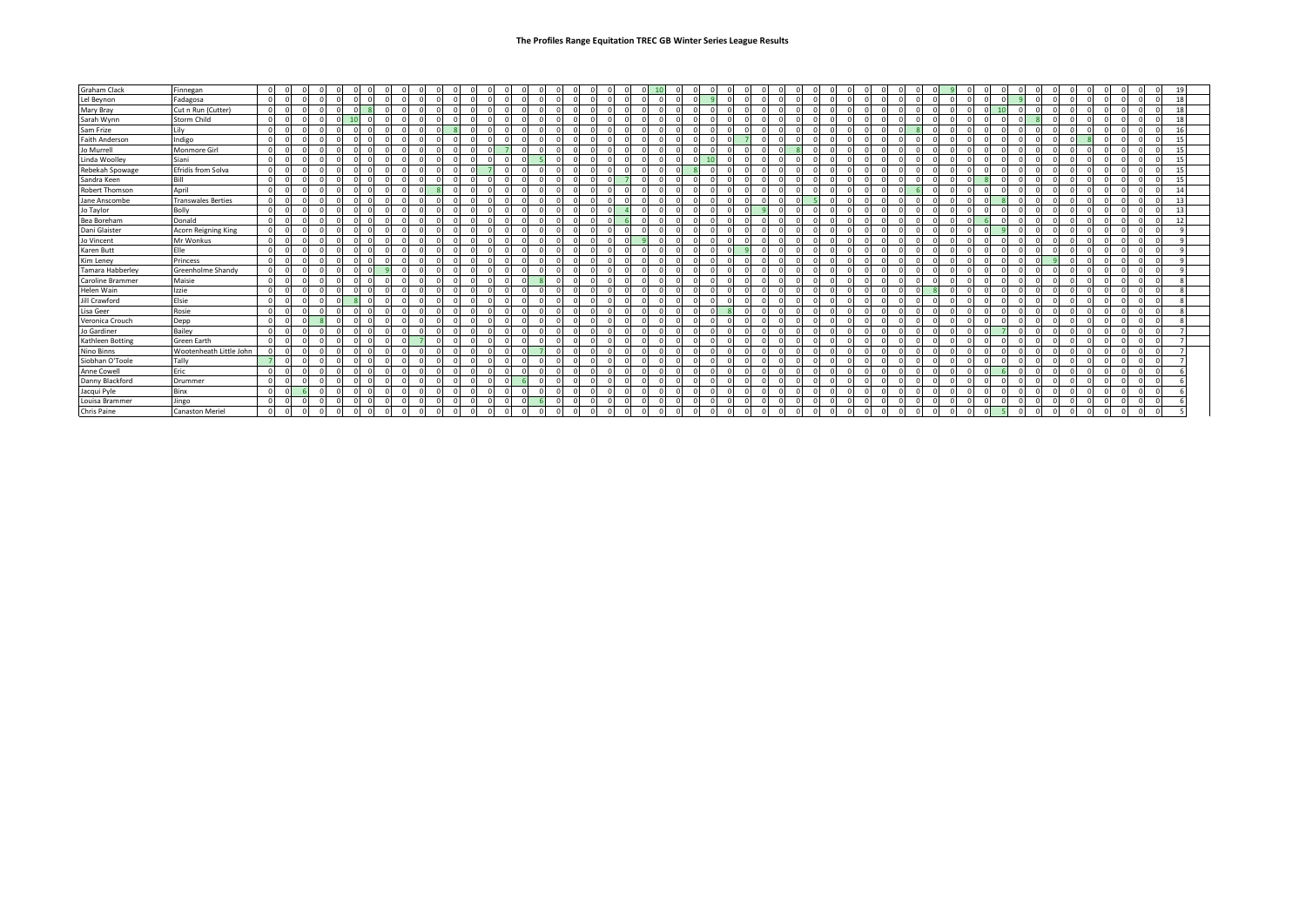| Graham Clack          | Finnegan                  | $\Omega$   |                |         |                         |  |                |         |          |          |          |         |          |  |                |  |          |          |                |                |          |          |            |          |          |          |     |         |  |  |         |                         |  |         |          |          |          |          |    |          |         |          |  |            |  | 19 |  |
|-----------------------|---------------------------|------------|----------------|---------|-------------------------|--|----------------|---------|----------|----------|----------|---------|----------|--|----------------|--|----------|----------|----------------|----------------|----------|----------|------------|----------|----------|----------|-----|---------|--|--|---------|-------------------------|--|---------|----------|----------|----------|----------|----|----------|---------|----------|--|------------|--|----|--|
| Lel Beynon            | Fadagosa                  | $\Omega$   |                |         |                         |  |                |         |          |          |          |         |          |  |                |  |          |          |                |                |          |          |            |          |          |          |     |         |  |  |         |                         |  |         |          |          |          |          |    |          |         |          |  |            |  | 18 |  |
| Mary Bray             | Cut n Run (Cutter)        | $\Omega$   |                |         |                         |  |                |         |          |          |          |         |          |  |                |  |          |          |                |                |          |          |            |          |          |          |     |         |  |  |         |                         |  |         |          |          |          |          |    |          |         |          |  |            |  | 18 |  |
| Sarah Wynn            | <b>Storm Child</b>        | $\Omega$   |                |         |                         |  |                |         |          |          |          |         |          |  |                |  |          |          |                |                |          |          |            |          |          |          |     |         |  |  |         |                         |  |         |          |          |          |          |    |          |         |          |  |            |  | 18 |  |
| Sam Frize             | Lily                      | $\Omega$   |                |         |                         |  |                |         |          |          |          |         |          |  |                |  |          |          |                |                |          |          |            |          |          |          |     |         |  |  |         |                         |  |         |          |          |          |          |    |          |         |          |  |            |  |    |  |
| <b>Faith Anderson</b> | Indigo                    | $\Omega$   |                |         |                         |  |                |         |          |          |          |         |          |  |                |  |          |          |                |                |          |          |            |          |          |          |     |         |  |  |         |                         |  |         |          |          |          |          |    |          |         |          |  |            |  | 15 |  |
| Jo Murrell            | Monmore Girl              | $\Omega$   |                |         |                         |  |                |         |          |          |          |         |          |  |                |  |          |          |                |                |          |          |            |          |          |          |     |         |  |  |         |                         |  |         |          |          |          |          |    |          |         |          |  |            |  |    |  |
| Linda Woolley         | Siani                     | $\Omega$   |                |         |                         |  |                |         |          |          |          |         |          |  |                |  |          |          |                |                |          |          |            |          |          |          |     |         |  |  |         |                         |  |         |          |          |          |          |    |          |         |          |  |            |  |    |  |
| Rebekah Spowage       | Efridís from Solva        | $\Omega$   |                |         |                         |  |                |         |          |          |          |         |          |  |                |  |          |          |                |                |          |          |            |          |          |          |     |         |  |  |         |                         |  |         |          |          |          |          |    |          |         |          |  |            |  | 15 |  |
| Sandra Keen           | Bill                      | $\Omega$   |                |         |                         |  |                |         |          |          |          |         |          |  |                |  |          |          |                |                |          |          |            |          |          |          |     |         |  |  |         |                         |  |         |          |          |          |          |    |          |         |          |  |            |  | 15 |  |
| <b>Robert Thomson</b> | April                     | <b>C</b>   |                |         |                         |  |                |         |          |          |          |         |          |  |                |  |          |          |                |                |          |          |            |          |          |          |     |         |  |  |         |                         |  |         |          |          |          |          |    |          |         |          |  |            |  | 14 |  |
| Jane Anscombe         | <b>Transwales Berties</b> | $\Omega$   |                |         |                         |  |                |         |          |          |          |         |          |  |                |  |          |          |                |                |          |          |            |          |          |          |     |         |  |  |         |                         |  |         |          |          |          |          |    |          |         |          |  |            |  | 13 |  |
| Jo Taylor             | Bolly                     | $\Omega$   |                |         |                         |  |                |         |          |          |          |         |          |  |                |  |          |          |                |                |          |          |            |          |          |          |     |         |  |  |         |                         |  |         |          |          |          |          |    |          |         |          |  |            |  | 13 |  |
| Bea Boreham           | Donald                    | $\Omega$   |                |         |                         |  |                |         |          |          |          |         |          |  |                |  |          |          |                |                |          |          |            |          |          |          |     |         |  |  |         |                         |  |         |          |          |          |          |    |          |         |          |  |            |  | 12 |  |
| Dani Glaister         | Acorn Reigning King       | $\Omega$   |                |         |                         |  |                |         |          |          |          |         |          |  |                |  |          |          |                |                |          |          |            |          |          |          |     |         |  |  |         |                         |  |         |          |          |          |          |    |          |         |          |  |            |  |    |  |
| Jo Vincent            | Mr Wonkus                 | $\Omega$   |                |         |                         |  |                |         |          |          |          |         |          |  |                |  |          |          |                |                |          |          |            |          |          |          |     |         |  |  |         |                         |  |         |          |          |          |          |    |          |         |          |  |            |  |    |  |
| Karen Butt            | Elle                      | $\Omega$   |                |         |                         |  |                |         |          |          |          |         |          |  |                |  |          |          |                |                |          |          |            |          |          |          |     |         |  |  |         |                         |  |         |          |          |          |          |    |          |         |          |  |            |  |    |  |
| Kim Leney             | Princess                  | $\Omega$   |                |         |                         |  |                |         |          |          |          |         |          |  |                |  |          |          |                |                |          |          |            |          |          |          |     |         |  |  |         |                         |  |         |          |          |          |          |    |          |         |          |  |            |  |    |  |
| Tamara Habberley      | Greenholme Shandy         | $\Omega$   |                |         |                         |  |                |         |          |          |          |         |          |  |                |  |          |          |                |                |          |          |            |          |          |          |     |         |  |  |         |                         |  |         |          |          |          |          |    |          |         |          |  |            |  |    |  |
| Caroline Brammer      | Maisie                    | $\Omega$   |                |         |                         |  |                |         |          |          |          |         |          |  |                |  |          |          |                |                |          |          |            |          |          |          |     |         |  |  |         |                         |  |         |          |          |          |          |    |          |         |          |  |            |  |    |  |
| Helen Wain            | Izzie                     | $\sim$     |                |         |                         |  |                |         |          |          |          |         |          |  |                |  |          |          |                |                |          |          |            |          |          |          |     |         |  |  |         |                         |  |         |          |          |          |          |    |          |         |          |  |            |  |    |  |
| Jill Crawford         | Elsie                     | $\Omega$   |                |         |                         |  |                |         |          |          |          |         |          |  |                |  |          |          |                |                |          |          |            |          |          |          |     |         |  |  |         |                         |  |         |          |          |          |          |    |          |         |          |  |            |  |    |  |
| Lisa Geer             | Rosie                     | f.         |                |         |                         |  |                |         |          |          |          |         |          |  |                |  |          |          |                |                |          |          |            |          |          |          |     |         |  |  |         |                         |  |         |          |          |          |          |    |          |         |          |  |            |  |    |  |
| Veronica Crouch       | Depp                      | $\Omega$   |                |         |                         |  |                |         |          |          |          |         |          |  |                |  |          |          |                |                |          |          |            |          |          |          |     |         |  |  |         |                         |  |         |          |          |          |          |    |          |         |          |  |            |  |    |  |
| Jo Gardiner           | Bailey                    | $\Omega$   |                |         |                         |  |                |         |          |          |          |         |          |  |                |  |          |          |                |                |          |          |            |          |          |          |     |         |  |  |         |                         |  |         |          |          |          |          |    |          |         |          |  |            |  |    |  |
| Kathleen Botting      | <b>Green Earth</b>        |            |                |         |                         |  |                |         |          |          |          |         |          |  |                |  |          |          |                |                |          |          |            |          |          |          |     |         |  |  |         |                         |  |         |          |          |          |          |    |          |         |          |  |            |  |    |  |
| Nino Binns            | Wootenheath Little John   |            |                |         |                         |  |                |         |          |          |          |         |          |  |                |  |          |          |                |                |          |          |            |          |          |          |     |         |  |  |         |                         |  |         |          |          |          |          |    |          |         |          |  |            |  |    |  |
| Siobhan O'Toole       | Tally                     |            |                |         |                         |  |                |         |          |          |          |         |          |  |                |  |          |          |                |                |          |          |            |          |          |          |     |         |  |  |         |                         |  |         |          |          |          |          |    |          |         |          |  |            |  |    |  |
| Anne Cowell           | Eric                      | $\sqrt{ }$ |                |         |                         |  |                |         |          |          |          |         |          |  |                |  |          |          |                |                |          |          |            |          |          |          |     |         |  |  |         |                         |  |         |          |          |          |          |    |          |         |          |  |            |  |    |  |
| Danny Blackford       | Drummer                   | $\Omega$   |                |         |                         |  |                |         |          |          |          |         |          |  |                |  |          |          |                |                |          |          |            |          |          |          |     |         |  |  |         |                         |  |         |          |          |          |          |    |          |         |          |  |            |  |    |  |
| Jacqui Pyle           | Binx                      | $\Omega$   |                |         |                         |  |                |         |          |          |          |         |          |  |                |  |          |          |                |                |          |          |            |          |          |          |     |         |  |  |         |                         |  |         |          |          |          |          |    |          |         |          |  |            |  |    |  |
| Louisa Brammer        | Jingo                     | $\Omega$   |                |         |                         |  |                |         |          |          |          |         |          |  |                |  |          |          |                |                |          |          |            |          |          |          |     |         |  |  |         |                         |  |         |          |          |          |          |    |          |         |          |  |            |  |    |  |
| Chris Paine           | <b>Canaston Meriel</b>    | $\Omega$   | $\overline{0}$ | $\circ$ | $\overline{\mathbf{0}}$ |  | $\overline{0}$ | $\circ$ | $\Omega$ | $\Omega$ | $\Omega$ | $\circ$ | $\Omega$ |  | $\overline{0}$ |  | $\Omega$ | $\Omega$ | $\overline{0}$ | $\overline{0}$ | $\Omega$ | $\Omega$ | $\sqrt{ }$ | $\Omega$ | $\Omega$ | $\Omega$ | - C | $\circ$ |  |  | $\circ$ | $\overline{\mathbf{0}}$ |  | $\circ$ | $\Omega$ | $\Omega$ | $\Omega$ | $\Omega$ | -5 | $\Omega$ | $\circ$ | $\Omega$ |  | $\sqrt{2}$ |  |    |  |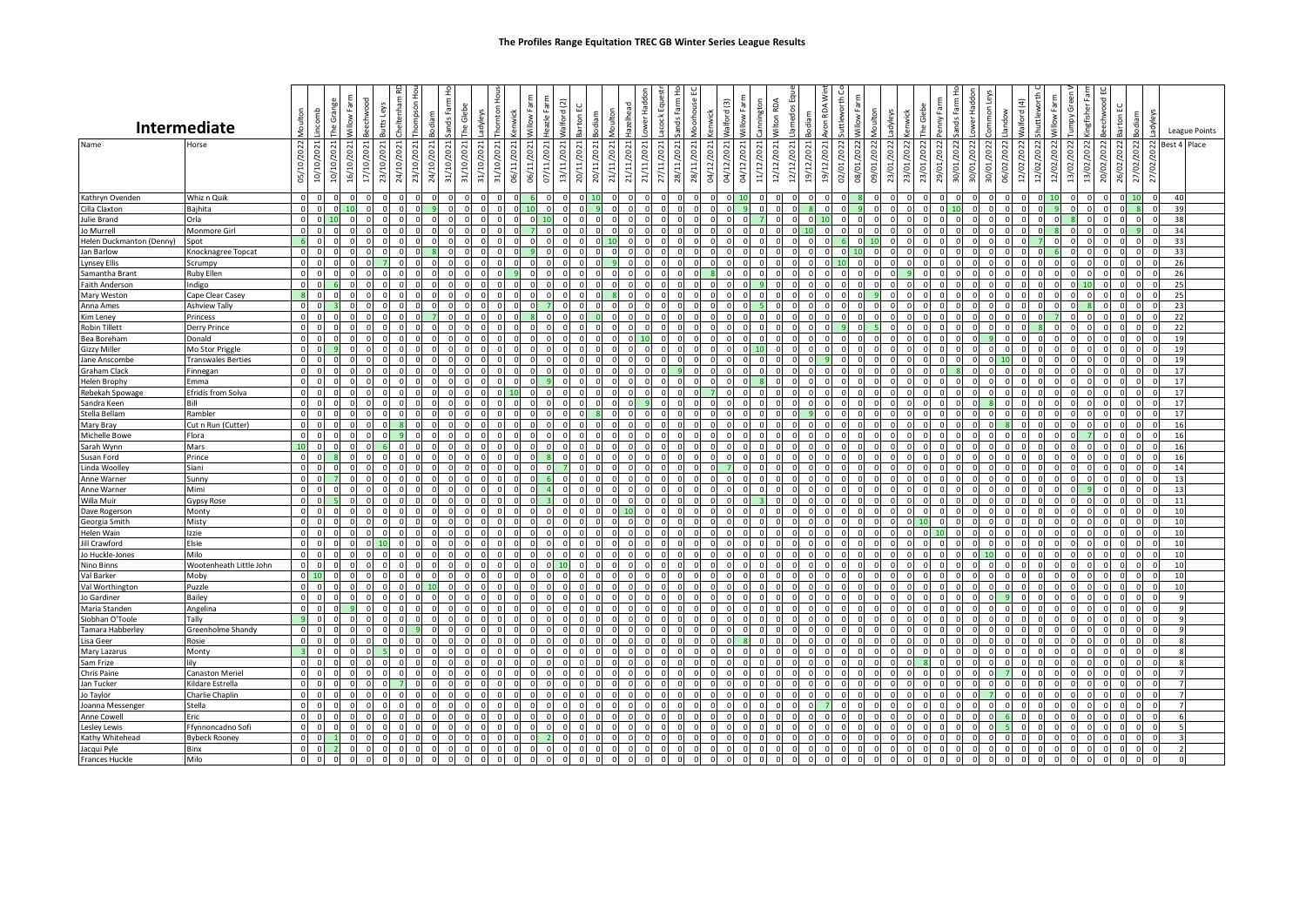|                              | <b>Intermediate</b>           | Moulton                 | incomb     | The Grange     | $\geq$              | echwood  | heltenham<br>Leys<br>utts l | hompson                            | odiam          | ands Farm      | Glebe               | adyleys    | 운<br>hornton<br>wick     | illow Farm  | eazle Farm | Valford (2) |          | <b>loulton</b><br>odiam | lazelhead                 | ower Hadd               | acock Eque | inds Farr      | ĕ                                 | Valford (3) | Villow Farm | mington      | Vilton RDA | amedos                   | RDA                | uttleworth | Villow Farm | <b>toulton</b><br>adyleys | <b>enwick</b> | The Glebe              | ands Farm<br>$\geq$    | Hadd        | non <sub>L</sub> | andow      | Valford (4) | huttlew    |                      | Tumpy Gree<br>ingfisher | eechwood             | <b>Sarton EC</b>          | majot      | Š<br>λρε       |          | League Points       |
|------------------------------|-------------------------------|-------------------------|------------|----------------|---------------------|----------|-----------------------------|------------------------------------|----------------|----------------|---------------------|------------|--------------------------|-------------|------------|-------------|----------|-------------------------|---------------------------|-------------------------|------------|----------------|-----------------------------------|-------------|-------------|--------------|------------|--------------------------|--------------------|------------|-------------|---------------------------|---------------|------------------------|------------------------|-------------|------------------|------------|-------------|------------|----------------------|-------------------------|----------------------|---------------------------|------------|----------------|----------|---------------------|
|                              |                               |                         |            |                |                     |          |                             |                                    |                |                |                     |            |                          |             |            |             |          |                         |                           |                         |            |                |                                   |             |             |              |            |                          |                    |            |             |                           |               |                        |                        |             |                  |            |             |            |                      |                         |                      |                           |            |                |          |                     |
| Name                         | Horse                         | 05/10/2022              | 10/10/2021 | 10/10/2021     | ੇਹ<br>$\mathcal{Q}$ | 17/10/   | 24/10/2021<br>23/10/2021    | 23/10/2021                         | 24/10/2021     | 31/10/2021     | ੇ<br>$\mathfrak{m}$ | 31/10/2021 | 06/11/2021<br>31/10/2021 | 06/11/2021  | 07/11/2021 | 13/11/2021  | ğ        | 20/11/2021              | 21/11/2021<br>21/11/2021  | 21/11/2021              | 27/11/2021 | 28/11/2021     | 11/2021<br>$\vec{z}$<br>28/<br>04 | 04/12/      | 04/12/2021  | 11/12/2021   | 12/12/2021 | 12/12/2021<br>19/12/2021 | Ñ<br>টা            | 02/01/2022 | 08/01/2022  | 23/01/2022<br>09/01/2022  | 23/01/2022    | 23/01/2022<br>Š<br>29) | 30/01/2022             | 30/01/2022  | 30/01/2022       | 06/02/2022 | 12/02/2022  | 12/02/2022 | 13/02/2022<br>12/02/ | 13/02/2022              | 20/02/2022           | 26/02/2022                | 27/02/2022 |                |          | <b>Best 4 Place</b> |
| Kathryn Ovenden              | Whiz n Quik                   | $\Omega$                | $\Omega$   |                |                     | $\Omega$ | $\Omega$                    |                                    |                |                |                     |            |                          |             |            | $\Omega$    |          |                         | $\Omega$<br>$\Omega$      | $\Omega$                |            |                |                                   |             |             | $\mathsf{C}$ |            |                          |                    |            |             |                           |               |                        |                        |             |                  |            |             |            |                      | $\Omega$                | $\Omega$<br>$\Omega$ | $\Omega$                  | 10         | $\Omega$       | 40       |                     |
| Cilla Claxton                | Bajhita                       | $\Omega$                |            |                |                     |          |                             |                                    |                |                |                     |            |                          |             |            |             |          |                         |                           | c                       |            |                |                                   |             |             | $\Omega$     |            |                          |                    |            |             |                           |               |                        |                        |             |                  |            |             |            |                      |                         |                      |                           |            | $\Omega$       | 39       |                     |
| Julie Brand                  | Orla                          | $\Omega$                | $\Omega$   |                |                     |          |                             |                                    |                |                |                     |            |                          |             |            | $\Omega$    |          |                         |                           |                         |            |                |                                   |             |             |              |            |                          |                    |            |             |                           |               |                        |                        |             |                  |            |             | $\cap$     |                      |                         |                      |                           |            | $\Omega$       | 38       |                     |
| lo Murrell                   | Monmore Girl                  | $\Omega$                |            |                |                     |          |                             |                                    |                |                |                     |            |                          |             |            |             |          |                         |                           |                         |            |                |                                   |             |             |              |            |                          |                    |            |             |                           |               |                        |                        |             |                  |            |             |            |                      |                         |                      |                           |            |                | 34       |                     |
| Helen Duckmanton (Denny)     | Spot                          | -6<br>$\Omega$          |            |                |                     |          |                             |                                    |                |                |                     |            |                          |             |            |             |          |                         |                           |                         |            |                |                                   |             |             |              |            |                          |                    |            |             |                           |               |                        |                        |             |                  |            |             |            |                      |                         |                      |                           |            | $\Omega$       | 33<br>33 |                     |
| Jan Barlow<br>ynsey Ellis    | Knocknagree Topcat<br>Scrumpy | $\Omega$                |            |                |                     |          |                             |                                    |                |                |                     |            |                          |             |            |             |          |                         |                           |                         |            |                |                                   |             |             |              |            |                          |                    |            |             |                           |               |                        |                        |             |                  |            |             |            |                      |                         |                      |                           |            |                | 26       |                     |
| Samantha Brant               | <b>Ruby Ellen</b>             | $\Omega$                |            |                |                     |          |                             |                                    |                |                |                     |            |                          |             |            |             |          |                         |                           |                         |            |                |                                   |             |             |              |            |                          |                    |            |             |                           |               |                        |                        |             |                  |            |             |            |                      |                         |                      |                           |            | $\Omega$       | 26       |                     |
| Faith Anderson               | Indigo                        | $\circ$                 |            |                |                     |          |                             |                                    |                |                |                     |            |                          |             |            |             |          |                         |                           |                         |            |                |                                   |             |             |              |            |                          |                    |            |             |                           |               |                        |                        |             |                  |            |             |            |                      |                         |                      |                           |            |                | 25       |                     |
| Mary Weston                  | Cape Clear Casey              |                         |            |                |                     |          |                             |                                    |                |                |                     |            |                          |             |            |             |          |                         |                           |                         |            |                |                                   |             |             |              |            |                          |                    |            |             |                           |               |                        |                        |             |                  |            |             |            |                      |                         |                      |                           |            |                | 25       |                     |
| Anna Ames                    | <b>Ashview Tally</b>          | $\Omega$                |            |                |                     |          |                             |                                    |                |                |                     |            |                          |             |            |             |          |                         |                           |                         |            |                |                                   |             |             |              |            |                          |                    |            |             |                           |               |                        |                        |             |                  |            |             |            |                      |                         |                      |                           |            |                | 23       |                     |
| Kim Leney                    | Princess                      | $\Omega$                |            |                |                     |          |                             |                                    |                |                |                     |            |                          |             |            |             |          |                         |                           |                         |            |                |                                   |             |             |              |            |                          |                    |            |             |                           |               |                        |                        |             |                  |            |             |            |                      |                         |                      |                           |            |                | 22       |                     |
| <b>Robin Tillett</b>         | <b>Derry Prince</b>           | $\Omega$                |            |                |                     |          |                             |                                    |                |                |                     |            |                          |             |            |             |          |                         |                           |                         |            |                |                                   |             |             |              |            |                          |                    |            |             |                           |               |                        |                        |             |                  |            |             |            |                      |                         |                      |                           |            |                | 22       |                     |
| Bea Boreham                  | Donald                        | $\circ$                 |            |                |                     |          |                             |                                    |                |                |                     |            |                          |             |            |             |          |                         |                           |                         |            |                |                                   |             |             |              |            |                          |                    |            |             |                           |               |                        |                        |             |                  |            |             |            |                      |                         |                      |                           |            |                | 19       |                     |
| <b>Gizzy Miller</b>          | Mo Stor Priggle               | $\Omega$                |            |                |                     |          |                             |                                    |                |                |                     |            |                          |             |            |             |          |                         |                           | c                       |            |                |                                   |             |             |              |            |                          |                    |            |             |                           |               |                        |                        |             |                  |            |             |            |                      |                         |                      |                           |            | $\Omega$       | 19       |                     |
| Jane Anscombe                | <b>Transwales Berties</b>     | $\circ$                 |            |                |                     |          |                             |                                    |                |                |                     |            |                          |             |            |             |          |                         |                           |                         |            |                |                                   |             |             |              |            |                          |                    |            |             |                           |               |                        |                        |             |                  |            |             |            |                      |                         |                      |                           |            | <sup>n</sup>   | 19       |                     |
| <b>Graham Clack</b>          | Finnegan                      | $\Omega$                |            |                |                     |          |                             |                                    |                |                |                     |            |                          |             |            |             |          |                         |                           |                         |            |                |                                   |             |             |              |            |                          |                    |            |             |                           |               |                        |                        |             |                  |            |             |            |                      |                         |                      |                           |            |                | 17       |                     |
| <b>Helen Brophy</b>          | Emma                          | $\Omega$                |            |                |                     |          |                             |                                    |                |                |                     |            |                          |             |            |             |          |                         |                           |                         |            |                |                                   |             |             |              |            |                          |                    |            |             |                           |               |                        |                        |             |                  |            |             |            |                      |                         |                      |                           |            | $\Omega$       | 17       |                     |
| Rebekah Spowage              | Efridís from Solva            | $\circ$<br>$\sqrt{2}$   |            |                |                     |          |                             |                                    |                |                |                     |            |                          |             |            |             |          |                         |                           |                         |            |                |                                   |             |             |              |            |                          |                    |            |             |                           |               |                        |                        |             |                  |            |             |            |                      |                         |                      |                           |            |                | 17       |                     |
| Sandra Keer                  | Ril<br>Rambler                | $\circ$                 |            |                |                     |          |                             |                                    |                |                |                     |            |                          |             |            |             |          |                         | $\Omega$                  | $\Omega$                |            |                |                                   |             |             | $\mathsf{r}$ |            |                          |                    |            |             |                           |               |                        |                        |             |                  |            |             |            |                      |                         |                      |                           |            | $\Omega$       | 17<br>17 |                     |
| Stella Bellam                |                               | $\circ$                 |            |                |                     |          |                             |                                    |                |                |                     |            |                          |             |            |             |          |                         |                           |                         |            |                |                                   |             |             |              |            |                          |                    |            |             |                           |               |                        |                        |             |                  |            |             |            |                      |                         |                      |                           |            |                |          |                     |
| Mary Bray<br>Michelle Bowe   | Cut n Run (Cutter)<br>Flora   | $\Omega$                |            |                |                     |          |                             |                                    |                |                |                     |            |                          |             |            |             |          |                         |                           |                         |            |                |                                   |             |             |              |            |                          |                    |            |             |                           |               |                        |                        |             |                  |            |             |            |                      |                         |                      |                           |            |                | 16<br>16 |                     |
| Sarah Wynn                   | Mars                          | 10                      |            |                |                     |          |                             |                                    |                |                |                     |            |                          |             |            |             |          |                         |                           |                         |            |                |                                   |             |             |              |            |                          |                    |            |             |                           |               |                        |                        |             |                  |            |             |            |                      |                         |                      |                           |            |                | 16       |                     |
| Susan Ford                   | Prince                        | $\Omega$                |            |                |                     |          |                             |                                    |                |                |                     |            |                          |             |            |             |          |                         |                           |                         |            |                |                                   |             |             |              |            |                          |                    |            |             |                           |               |                        |                        |             |                  |            |             |            |                      |                         |                      |                           |            |                | 16       |                     |
| Linda Woolley                | Siani                         | $\Omega$                |            |                |                     |          |                             |                                    |                |                |                     |            |                          |             |            |             |          |                         |                           |                         |            |                |                                   |             |             |              |            |                          |                    |            |             |                           |               |                        |                        |             |                  |            |             |            |                      |                         |                      |                           |            |                | 14       |                     |
| Anne Warner                  | Sunny                         | $\Omega$                |            |                |                     |          |                             |                                    |                |                |                     |            |                          |             |            |             |          |                         |                           |                         |            |                |                                   |             |             |              |            |                          |                    |            |             |                           |               |                        |                        |             |                  |            |             |            |                      |                         |                      |                           |            |                | 13       |                     |
| Anne Warner                  | Mimi                          | $\circ$                 |            |                |                     |          |                             |                                    |                |                |                     |            |                          |             |            |             |          |                         |                           |                         |            |                |                                   |             |             |              |            |                          |                    |            |             |                           |               |                        |                        |             |                  |            |             |            |                      |                         |                      |                           |            | $\Omega$       | 13       |                     |
| Willa Muir                   | Gypsy Rose                    | $\mathbf 0$             |            |                |                     |          |                             |                                    |                |                |                     |            |                          |             |            |             |          |                         |                           |                         |            |                |                                   |             |             |              |            |                          |                    |            |             |                           |               |                        |                        |             |                  |            |             |            |                      |                         |                      |                           |            | $\Omega$       | 11       |                     |
| Dave Rogerson                | Monty                         | $\Omega$                |            |                |                     |          |                             |                                    |                |                |                     |            |                          |             |            |             |          |                         |                           |                         |            |                |                                   |             |             |              |            |                          |                    |            |             |                           |               |                        |                        |             |                  |            |             |            |                      |                         |                      |                           |            |                | 10       |                     |
| Georgia Smith                | Misty                         | $\Omega$                |            |                |                     |          |                             |                                    |                |                |                     |            |                          |             |            |             |          |                         |                           |                         |            |                |                                   |             |             |              |            |                          |                    |            |             |                           |               |                        |                        |             |                  |            |             |            |                      |                         |                      |                           |            | $\Omega$       | 10       |                     |
| Helen Wain                   | Izzie                         | $\Omega$                |            |                |                     |          |                             |                                    |                |                |                     |            |                          |             |            |             |          |                         |                           |                         |            |                |                                   |             |             |              |            |                          |                    |            |             |                           |               |                        |                        |             |                  |            |             |            |                      |                         |                      |                           |            |                | 10       |                     |
| Jill Crawford                | Elsie                         | $\Omega$                |            |                |                     |          |                             |                                    |                |                |                     |            |                          |             |            |             |          |                         |                           |                         |            |                |                                   |             |             |              |            |                          |                    |            |             |                           |               |                        |                        |             |                  |            |             |            |                      |                         |                      |                           |            |                | 10       |                     |
| Jo Huckle-Jones              | Milo                          | $\Omega$                |            |                |                     |          |                             |                                    |                |                |                     |            |                          |             |            |             |          |                         |                           |                         |            |                |                                   |             |             |              |            |                          |                    |            |             |                           |               |                        |                        |             |                  |            |             |            |                      |                         |                      |                           |            | $\cap$         | 10       |                     |
| Nino Binns                   | Wootenheath Little John       | $\circ$                 |            |                |                     |          |                             |                                    |                |                |                     |            |                          |             |            |             |          |                         |                           |                         |            |                |                                   |             |             |              |            |                          |                    |            |             |                           |               |                        |                        |             |                  |            |             |            |                      |                         |                      |                           |            | $\Omega$       | 10       |                     |
| Val Barker                   | Moby                          | $\Omega$                |            |                |                     |          |                             |                                    |                |                |                     |            |                          |             |            |             |          |                         |                           |                         |            |                |                                   |             |             |              |            |                          |                    |            |             |                           |               |                        |                        |             |                  |            |             |            |                      |                         |                      |                           |            |                | 10       |                     |
| Val Worthington              | Puzzle                        | $\circ$<br>$\Omega$     |            |                |                     |          |                             |                                    |                |                |                     |            |                          |             |            |             |          |                         |                           |                         |            |                |                                   |             |             |              |            |                          |                    |            |             |                           |               |                        |                        |             |                  |            |             |            |                      |                         |                      |                           |            | $\Omega$       | 10       |                     |
| Jo Gardiner<br>Maria Standen | Bailey<br>Angelina            | $\circ$                 |            |                |                     |          |                             |                                    |                |                |                     |            |                          |             |            |             |          |                         |                           |                         |            |                |                                   |             |             |              |            |                          |                    |            |             |                           |               |                        |                        |             |                  |            |             |            |                      |                         |                      |                           | $\Omega$   | $\Omega$       |          |                     |
| Siobhan O'Toole              | Tally                         | $\alpha$                |            |                |                     |          |                             |                                    |                |                |                     |            |                          |             |            |             |          |                         |                           |                         |            |                |                                   |             |             |              |            |                          |                    |            |             |                           |               |                        |                        |             |                  |            |             |            |                      |                         |                      |                           |            |                |          |                     |
| Tamara Habberley             | Greenholme Shandy             | $\circ$                 |            |                |                     |          |                             |                                    |                |                |                     |            |                          |             |            |             |          |                         |                           |                         |            |                |                                   |             |             |              |            |                          |                    |            |             |                           |               |                        |                        |             |                  |            |             |            |                      |                         |                      |                           |            | $\Omega$       |          |                     |
| Lisa Geer                    | Rosie                         | $\mathbf 0$             |            |                |                     |          |                             |                                    |                |                |                     |            |                          |             |            |             |          |                         |                           |                         |            |                |                                   |             |             |              |            |                          |                    |            |             |                           |               |                        |                        |             |                  |            |             |            |                      |                         |                      |                           | $\circ$    | $\overline{0}$ |          |                     |
| Mary Lazarus                 | Monty                         | $\overline{\mathbf{z}}$ |            |                |                     |          |                             |                                    |                |                |                     |            |                          |             |            |             |          |                         |                           |                         |            |                |                                   |             |             |              |            |                          |                    |            |             |                           |               |                        |                        |             |                  |            |             |            |                      |                         |                      |                           |            | $\Omega$       |          |                     |
| Sam Frize                    | lilv                          | $\Omega$                |            |                |                     |          |                             |                                    |                |                |                     |            |                          |             |            |             |          |                         |                           |                         |            |                |                                   |             |             |              |            |                          |                    |            |             |                           |               |                        |                        |             |                  |            |             |            |                      |                         |                      |                           |            | $\Omega$       |          |                     |
| Chris Paine                  | <b>Canaston Meriel</b>        | $\Omega$                |            |                |                     |          |                             |                                    |                |                |                     |            |                          |             |            |             |          |                         |                           |                         |            |                |                                   |             |             |              |            |                          |                    |            |             |                           |               |                        |                        |             |                  |            |             |            |                      |                         |                      |                           |            |                |          |                     |
| Jan Tucker                   | Kildare Estrella              | $\Omega$                |            |                |                     |          |                             |                                    |                |                |                     |            |                          |             |            |             |          |                         |                           |                         |            |                |                                   |             |             |              |            |                          |                    |            |             |                           |               |                        |                        |             |                  |            |             |            |                      |                         |                      |                           | $\Omega$   | $\Omega$       |          |                     |
| Jo Taylor                    | Charlie Chaplin               | $\circ$                 |            |                |                     |          |                             |                                    |                |                |                     |            |                          |             |            |             |          |                         |                           | $\Omega$                |            |                |                                   |             |             |              |            |                          |                    |            |             |                           |               |                        |                        |             |                  |            |             |            |                      |                         |                      |                           | $\Omega$   | $\Omega$       |          |                     |
| Joanna Messenger             | Stella                        | $\Omega$                |            |                |                     |          |                             |                                    |                |                |                     |            |                          |             |            |             |          |                         |                           |                         |            |                |                                   |             |             |              |            |                          |                    |            |             |                           |               |                        |                        |             |                  |            |             |            |                      |                         |                      |                           |            | $\Omega$       |          |                     |
| Anne Cowell                  | Eric                          | $\Omega$                |            |                |                     |          |                             |                                    |                |                |                     |            |                          |             |            |             |          |                         |                           |                         |            |                |                                   |             |             |              |            |                          |                    |            |             |                           |               |                        |                        |             |                  |            |             |            |                      |                         |                      |                           | $\cap$     | $\Omega$       |          |                     |
| Lesley Lewis                 | Ffynnoncadno Sofi             | $\circ$                 |            |                |                     |          |                             |                                    |                |                |                     |            |                          |             |            | $\Omega$    |          |                         | $\Omega$                  |                         |            |                |                                   |             |             |              |            |                          |                    |            |             |                           |               |                        |                        |             |                  |            |             |            |                      |                         |                      |                           | $\Omega$   | $\overline{0}$ |          |                     |
| Kathy Whitehead              | <b>Bybeck Rooney</b>          | $\Omega$                |            |                |                     |          |                             |                                    |                |                |                     |            |                          |             |            |             |          |                         |                           |                         |            |                |                                   |             |             |              |            |                          |                    |            |             |                           |               |                        |                        |             |                  |            |             |            |                      |                         |                      |                           |            | $\Omega$       |          |                     |
| Jacqui Pyle                  | Binx                          | $\Omega$                | $\Omega$   | $\overline{2}$ | $\Omega$            | $\circ$  | $\Omega$                    | $\Omega$                           |                | $\Omega$       | $\Omega$            |            |                          |             |            | $\Omega$    | $\Omega$ | $\circ$                 | $\overline{0}$<br>$\circ$ | $\Omega$                |            |                |                                   |             |             | $\Omega$     |            |                          | $\Omega$           |            | $\Omega$    | $\overline{0}$<br>$\cap$  | $\Omega$      | $\Omega$               | $\Omega$               |             |                  |            |             | $\Omega$   | $\Omega$             | $\circ$                 | $\Omega$             | $\Omega$<br>$\Omega$      | $\Omega$   | $\Omega$       |          |                     |
| Frances Huckle               | Milo                          |                         | $0$ 0 0 0  |                |                     | $\circ$  | $\overline{0}$              | $\overline{\mathbf{0}}$<br>$\circ$ | $\overline{0}$ | $\overline{0}$ | $\circ$             | $\circ$    | $\mathbf{0}$             | $\mathbf 0$ | o          | $0\quad 0$  |          | $\circ$                 | $\circ$<br>$\overline{0}$ | $\overline{\mathbf{0}}$ | $\circ$    | $\overline{0}$ | $\circ$                           | $\Omega$    | $\mathbf 0$ | $\circ$      | $\circ$    | $\circ$                  | $\circ$<br>$\circ$ | $\Omega$   | $0\quad 0$  | $\circ$                   |               | $0\quad 0$             | $\circ$<br>$\mathbf 0$ | $\mathbf 0$ |                  | $\circ$    | $\circ$     | $0$ 0      |                      | $\circ$                 | $\circ$              | $\circ$<br>$\overline{0}$ | $\circ$    | $\overline{0}$ | $\Omega$ |                     |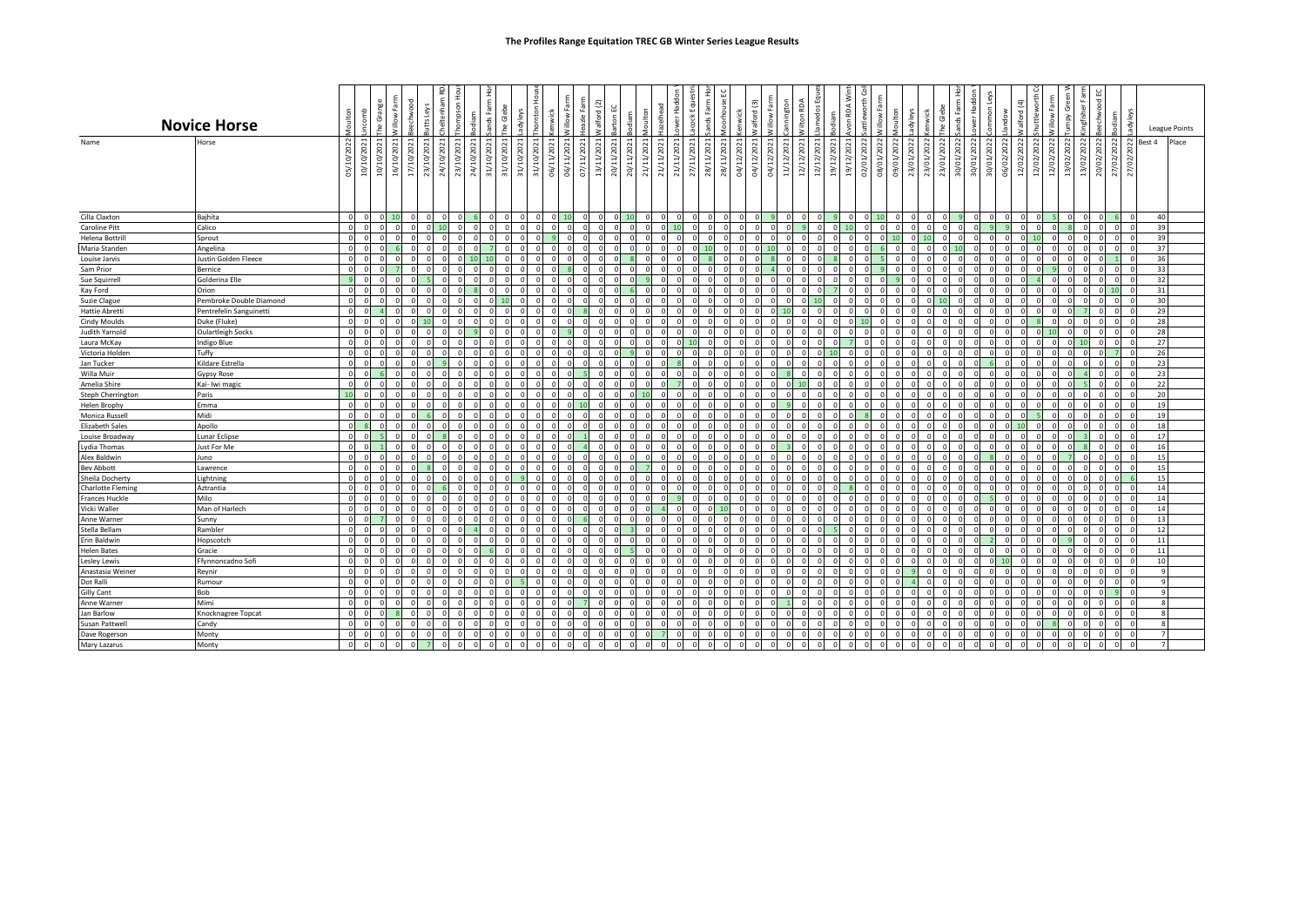|                                       | <b>Novice Horse</b>                                | Moulton                 | incomb     | Villow Farm<br>he Grange | oowhe                    | utts Leys      |        | Ε<br>inds Fa     | Glebe      | adyleys     | 운<br><b>homton</b><br>wick | Farm<br>llow | eazle Farm | alford (2)<br>arton EC   | maja       | <b>Toulton</b> |                 |          | ands Farm  | nouse           | valford (3)<br>舌         | Villow Farm    |                | lamedos Eq<br>Vilton RDA | odiam      | von RDA Wii | uttleworth<br>운                 |                      | δš<br>nwick    | Gleb            | ands Farm       | ommon Le<br>ower Hadd    | ಕ                        | Valford (4) | huttleworth | Villow Farm<br>Gree<br>ydun | ingfisher Fa | echwood        |                |             |                | League Points |
|---------------------------------------|----------------------------------------------------|-------------------------|------------|--------------------------|--------------------------|----------------|--------|------------------|------------|-------------|----------------------------|--------------|------------|--------------------------|------------|----------------|-----------------|----------|------------|-----------------|--------------------------|----------------|----------------|--------------------------|------------|-------------|---------------------------------|----------------------|----------------|-----------------|-----------------|--------------------------|--------------------------|-------------|-------------|-----------------------------|--------------|----------------|----------------|-------------|----------------|---------------|
| Name                                  | Horse                                              | 05/10/2022              | 10/10/2021 | 10/10/2021               | 16/10/2021<br>17/10/2021 | 23/10/2021     | 24/10/ | 24/10/<br>31/10/ | 31/10/2023 | 31/10/2021  | 31/10/2021<br>06/11/2021   | 06/11/2021   | 07/11/2021 | 20/11/2021<br>13/11/2021 | 20/11/2021 | 21/11/2021     | /2021<br>21/11/ | 27/11    | 28/11/2021 | /2021<br>28/11/ | 04/12/2021<br>04/12/2021 | 04/12/2021     | /202<br>11/12/ | 12/12/2021<br>12/12/2021 | 19/12/2021 | 19/12/2021  | 02/01/2022<br>/2022<br>g)<br>පි | $\overline{5}$<br>නි | 23/01<br>23/01 | /2022<br>23/01, | /2022<br>30/01/ | 30/01/2022<br>30/01/2022 | $\mathbb{S}^2$<br>06/02/ | 12/02/2022  | 12/02/2022  | 13/02/2022<br>12/02/2022    | 13/02/2022   | 20/02/2022     | $\overline{a}$ | $\tilde{c}$ | Best 4         | Place         |
| Cilla Claxton                         | Bajhita                                            | $\Omega$                | -C         | 10                       |                          | $\Omega$       |        |                  | $\Omega$   | $\mathbf 0$ | $\mathbf 0$                |              |            |                          |            |                |                 | $\Omega$ | $\circ$    |                 |                          | $\Omega$       |                |                          |            |             |                                 |                      | $\circ$        |                 |                 | $\Omega$<br>$\Omega$     |                          | $\Omega$    |             |                             |              | $\overline{0}$ |                |             | 40             |               |
| Caroline Pitt                         | Calico                                             | $\overline{0}$          | $\Omega$   |                          |                          |                |        |                  |            |             | $\Omega$                   |              |            |                          |            |                |                 |          | $\Omega$   |                 |                          | $\overline{0}$ |                |                          |            |             |                                 |                      |                |                 |                 |                          |                          | $\Omega$    |             |                             |              | $\overline{0}$ |                |             | 39             |               |
| Helena Bottrill                       |                                                    | $\Omega$                |            |                          |                          |                |        |                  |            |             |                            |              |            |                          |            |                |                 |          |            |                 |                          | $\Omega$       |                |                          |            |             |                                 |                      |                |                 |                 |                          |                          | $\Omega$    |             |                             |              | $\overline{0}$ |                |             | 39             |               |
| Maria Standen                         | Sprout<br>Angelina                                 | $\Omega$                |            |                          |                          |                |        |                  |            |             |                            |              |            |                          |            |                |                 |          |            |                 |                          | 10             |                |                          |            |             |                                 |                      |                |                 |                 |                          |                          |             |             |                             |              |                | $\overline{0}$ |             | 37             |               |
|                                       |                                                    | $\overline{0}$          |            |                          |                          |                |        |                  |            |             |                            |              |            |                          |            |                |                 |          |            |                 |                          |                |                |                          |            |             |                                 |                      |                |                 |                 |                          |                          | $\Omega$    |             |                             |              | $\Omega$       |                |             | 36             |               |
| Louise Jarvis                         | Justin Golden Fleece<br>Bernice                    | $\Omega$                | - C        |                          |                          | $\Omega$       |        |                  |            |             |                            |              |            |                          |            |                |                 |          |            |                 |                          |                |                |                          |            |             |                                 |                      |                |                 |                 |                          |                          |             |             |                             |              |                | $\circ$        |             |                |               |
| Sam Prior                             | Golderina Elle                                     | <b>q</b>                |            |                          |                          |                |        |                  |            |             |                            |              |            |                          |            |                |                 |          |            |                 |                          | $\Omega$       |                |                          |            |             |                                 |                      |                |                 |                 |                          |                          | $\Omega$    |             |                             |              |                | $\overline{0}$ |             | 33<br>32       |               |
| Sue Squirrel                          | Orion                                              | $\overline{0}$          | <b>C</b>   |                          |                          |                |        |                  |            |             |                            |              |            |                          |            |                |                 |          |            |                 |                          | $\circ$        |                |                          |            |             |                                 |                      |                |                 |                 |                          |                          |             |             |                             |              |                | $0 \mid 10$    |             | 31             |               |
| Kay Ford                              |                                                    | $\Omega$                |            |                          |                          |                |        |                  |            |             |                            |              |            |                          |            |                |                 |          |            |                 |                          | $\Omega$       |                |                          |            |             |                                 |                      |                |                 |                 |                          |                          | $\Omega$    |             |                             |              |                | $\circ$        |             | 30             |               |
| <b>Suzie Clague</b>                   | Pembroke Double Diamond<br>Pentrefelin Sanguinetti | $\Omega$                |            |                          |                          |                |        |                  |            |             |                            |              |            |                          |            |                |                 |          |            |                 |                          | $\Omega$       |                |                          |            |             |                                 |                      |                |                 |                 |                          |                          |             |             |                             |              |                | $\circ$        |             | 29             |               |
| <b>Hattie Abretti</b>                 |                                                    | $\Omega$                | -C         |                          |                          |                |        |                  |            |             |                            |              |            |                          |            |                |                 |          |            |                 |                          | $\Omega$       |                |                          |            |             |                                 |                      |                |                 |                 |                          |                          |             |             |                             |              |                | $\Omega$       |             | 28             |               |
| Cindy Moulds<br><b>Judith Yarnold</b> | Duke (Fluke)<br><b>Oulartleigh Socks</b>           | $\Omega$                | - C        |                          |                          |                |        |                  |            |             |                            |              |            |                          |            |                |                 |          |            |                 |                          | $\Omega$       |                |                          |            |             |                                 |                      |                |                 |                 |                          |                          | $\Omega$    |             |                             |              | $\circ$        |                |             | 28             |               |
|                                       | <b>Indigo Blue</b>                                 | $\Omega$                |            |                          |                          |                |        |                  |            |             |                            |              |            |                          |            |                |                 |          |            |                 |                          | $\Omega$       |                |                          |            |             |                                 |                      |                |                 |                 |                          |                          |             |             |                             |              |                | $\Omega$       |             | 27             |               |
| Laura McKay<br>Victoria Holden        | Tuffy                                              | $\overline{\mathbf{0}}$ | - C        |                          |                          |                |        |                  |            |             |                            |              |            |                          |            |                |                 |          |            |                 |                          | $\circ$        |                |                          |            |             |                                 |                      |                |                 |                 |                          |                          | $\Omega$    |             |                             |              | $\Omega$       |                |             | 26             |               |
| Jan Tucker                            | Kildare Estrella                                   | $\Omega$                |            |                          |                          |                |        |                  |            |             |                            | $\Omega$     |            |                          |            |                |                 |          |            |                 |                          | $\Omega$       |                |                          |            |             |                                 |                      |                |                 |                 |                          |                          | $\Omega$    |             |                             |              |                | $\overline{0}$ |             | 23             |               |
| Willa Muir                            | <b>Gypsy Rose</b>                                  | $\Omega$                |            |                          |                          |                |        |                  |            |             |                            |              |            |                          |            |                |                 |          |            |                 |                          |                |                |                          |            |             |                                 |                      |                |                 |                 |                          |                          |             |             |                             |              |                | $\Omega$       |             | 23             |               |
| Amelia Shire                          | Kai- Iwi magic                                     | $\overline{\mathbf{0}}$ | -C         |                          |                          |                |        |                  |            |             |                            |              |            |                          |            |                |                 |          |            |                 |                          | $\circ$        |                |                          |            |             |                                 |                      |                |                 |                 |                          |                          | $\Omega$    |             |                             |              |                | $\overline{0}$ |             | 22             |               |
| Steph Cherrington                     | Paris                                              | 10                      | £          |                          |                          | $\cap$         |        |                  |            |             |                            | $\Omega$     | $\cap$     |                          |            | 10             |                 |          |            |                 |                          | $\Omega$       |                |                          |            |             |                                 |                      |                |                 |                 |                          |                          | $\Omega$    |             |                             |              | $\circ$        |                |             | 20             |               |
| Helen Brophy                          | Emma                                               | $\Omega$                |            |                          |                          |                |        |                  |            |             |                            |              |            |                          |            |                |                 |          |            |                 |                          |                |                |                          |            |             |                                 |                      |                |                 |                 |                          |                          |             |             |                             |              | $\Omega$       |                |             | 19             |               |
| Monica Russell                        | Midi                                               | $\Omega$                |            |                          |                          |                |        |                  |            |             |                            |              |            |                          |            |                |                 |          |            |                 |                          | $\Omega$       |                |                          |            |             |                                 |                      |                |                 |                 |                          |                          | $\Omega$    |             |                             |              |                | $\Omega$       |             | 19             |               |
| <b>Elizabeth Sales</b>                | Apollo                                             | $\Omega$                |            |                          |                          | $\Omega$       |        |                  |            |             |                            | $\Omega$     |            |                          |            |                |                 |          |            |                 |                          | $\Omega$       |                |                          |            |             |                                 |                      |                |                 |                 |                          |                          | 10          |             |                             |              |                | $\overline{0}$ |             | 18             |               |
| Louise Broadway                       | <b>Lunar Eclipse</b>                               | $\Omega$                |            |                          |                          |                |        |                  |            |             |                            |              |            |                          |            |                |                 |          |            |                 |                          | $\Omega$       |                |                          |            |             |                                 |                      |                |                 |                 |                          |                          |             |             |                             |              | $\Omega$       |                |             | 17             |               |
| <b>Lydia Thomas</b>                   | Just For Me                                        | $\overline{0}$          |            |                          |                          |                |        |                  |            |             |                            |              |            |                          |            |                |                 |          |            |                 |                          | $\Omega$       |                |                          |            |             |                                 |                      |                |                 |                 |                          |                          | $\Omega$    |             |                             |              |                | $\Omega$       |             | 16             |               |
| Alex Baldwin                          | Juno                                               | $\mathbf 0$             | - C        |                          |                          |                |        |                  |            |             |                            |              |            |                          |            |                |                 |          |            |                 |                          | $\Omega$       |                |                          |            |             |                                 |                      |                |                 |                 |                          |                          | $\Omega$    |             |                             |              | $\overline{0}$ |                |             | 15             |               |
| <b>Bev Abbott</b>                     | Lawrence                                           | $\overline{0}$          |            |                          |                          |                |        |                  |            |             |                            |              |            |                          |            |                |                 |          |            |                 |                          | $\Omega$       |                |                          |            |             |                                 |                      |                |                 |                 |                          |                          |             |             |                             |              | $\Omega$       |                |             | 15             |               |
| Sheila Docherty                       | Lightning                                          | $\overline{0}$          |            |                          |                          |                |        |                  |            |             |                            |              |            |                          |            |                |                 |          |            |                 |                          | $\Omega$       |                |                          |            |             |                                 |                      |                |                 |                 |                          |                          | $\Omega$    |             |                             |              |                | $\Omega$       |             | 15             |               |
| <b>Charlotte Fleming</b>              | Aztrantia                                          | $\Omega$                |            |                          |                          |                |        |                  |            |             |                            |              |            |                          |            |                |                 |          |            |                 |                          | $\Omega$       |                |                          |            |             |                                 |                      |                |                 |                 |                          |                          | $\Omega$    |             |                             |              | $\Omega$       |                |             | 14             |               |
| <b>Frances Huckle</b>                 | Milo                                               | $\Omega$                |            |                          |                          |                |        |                  |            |             |                            |              |            |                          |            |                |                 |          |            |                 |                          |                |                |                          |            |             |                                 |                      |                |                 |                 |                          |                          |             |             |                             |              | $\Omega$       |                |             | 14             |               |
| Vicki Waller                          | Man of Harlech                                     | $\Omega$                |            |                          |                          |                |        |                  |            |             |                            |              |            |                          |            |                |                 |          |            |                 |                          | $\Omega$       |                |                          |            |             |                                 |                      |                |                 |                 |                          |                          |             |             |                             |              | $\Omega$       |                |             | 14             |               |
| Anne Warner                           | Sunny                                              | $\Omega$                |            |                          |                          | $\cap$         |        |                  |            |             |                            |              |            |                          |            |                |                 |          |            |                 |                          | $\Omega$       |                |                          |            |             |                                 |                      |                |                 |                 |                          |                          | $\cap$      |             |                             |              | $\overline{0}$ |                |             | 13             |               |
| Stella Bellam                         | Rambler                                            | $\Omega$                |            |                          |                          |                |        |                  |            |             |                            |              |            |                          |            |                |                 |          |            |                 |                          | $\Omega$       |                |                          |            |             |                                 |                      |                |                 |                 |                          |                          |             |             |                             |              | $\Omega$       |                |             | 12             |               |
| Erin Baldwin                          | Hopscotch                                          | $\overline{0}$          |            |                          |                          |                |        |                  |            |             |                            |              |            |                          |            |                |                 |          |            |                 |                          | $\Omega$       |                |                          |            |             |                                 |                      |                |                 |                 |                          |                          | $\Omega$    |             |                             |              |                | $\Omega$       |             | 11             |               |
| <b>Helen Bates</b>                    | Gracie                                             | $\mathbf 0$             | -C         |                          |                          | $\Omega$       |        |                  |            |             |                            |              |            |                          |            |                |                 |          |            |                 |                          | $\Omega$       |                |                          |            |             |                                 |                      |                |                 |                 |                          |                          | $\Omega$    |             |                             |              |                | $\circ$        |             | 11             |               |
| Lesley Lewis                          | Ffynnoncadno Sof                                   | $\overline{0}$          | $\Omega$   |                          |                          |                |        |                  |            |             |                            |              |            |                          |            |                |                 |          |            |                 |                          | $\Omega$       |                |                          |            |             |                                 |                      |                |                 |                 |                          |                          | $\Omega$    |             |                             |              |                | $\Omega$       |             | 10             |               |
| Anastasia Weiner                      | Reynir                                             | $\overline{0}$          | $\Omega$   |                          |                          | $\Omega$       |        |                  |            |             | $\Omega$                   |              |            |                          |            |                |                 |          |            |                 |                          | $\Omega$       |                |                          |            |             |                                 |                      |                |                 |                 | $\Omega$                 | $\Omega$                 | $\Omega$    |             |                             |              |                | $\circ$        | $\Omega$    | 9              |               |
| Dot Ralli                             | Rumour                                             | $\Omega$                | -C         |                          |                          | $\Omega$       |        |                  |            |             |                            | $\Omega$     |            |                          |            |                |                 |          |            |                 |                          | $\Omega$       |                |                          |            |             |                                 |                      |                |                 |                 |                          | $\Omega$                 | $\Omega$    |             |                             |              |                | $\overline{0}$ |             | $\mathbf{q}$   |               |
| <b>Gilly Cant</b>                     | Bob                                                | $\Omega$                |            |                          |                          | $\Omega$       |        |                  |            | $\Omega$    | $\Omega$                   |              |            |                          |            |                |                 |          | $\Omega$   |                 |                          | $\Omega$       |                |                          |            |             |                                 |                      |                |                 |                 |                          |                          | $\Omega$    |             |                             |              | $\overline{0}$ |                |             | $\mathbf{Q}$   |               |
| Anne Warner                           | Mimi                                               | $\Omega$                | - C        |                          |                          | $\Omega$       |        |                  | $\Omega$   | U           | $\Omega$                   |              |            |                          |            |                |                 |          | $\Omega$   |                 |                          | $\Omega$       |                |                          |            |             |                                 |                      |                |                 |                 |                          |                          | $\Omega$    |             |                             |              | $\Omega$       |                | $\Omega$    | $\mathbf{8}$   |               |
| Jan Barlow                            | Knocknagree Topcat                                 | $\mathbf 0$             | - C        |                          |                          | $\Omega$       |        |                  |            |             | $\Omega$                   | $\Omega$     |            |                          |            |                |                 |          |            |                 |                          | $\Omega$       |                |                          |            |             |                                 |                      |                |                 |                 |                          | $\Omega$                 | $\Omega$    |             |                             |              | $\Omega$       |                |             | 8              |               |
| Susan Pattwell                        | Candy                                              | $\Omega$                |            |                          |                          | $\Omega$       |        |                  |            | U           | $\Omega$                   |              |            |                          |            |                |                 |          |            |                 |                          | $\Omega$       |                |                          |            |             | $\Omega$                        |                      | $\Omega$       |                 |                 |                          |                          | $\Omega$    |             |                             |              | $\circ$        |                |             | $\mathbf{g}$   |               |
| Dave Rogerson                         | Monty                                              | $\Omega$                | $\sim$     |                          |                          | $\cap$         |        |                  |            |             |                            |              |            |                          |            |                |                 |          |            |                 |                          | $\Omega$       |                |                          |            |             | $\Omega$                        |                      |                |                 |                 |                          |                          | $\Omega$    |             |                             |              | $\Omega$       |                |             | $\overline{7}$ |               |
| Mary Lazarus                          | Monty                                              | $\overline{\mathbf{0}}$ | $\Omega$   | $\circ$                  | $\Omega$                 | $\overline{7}$ |        |                  |            |             | $\Omega$                   |              |            |                          |            |                |                 |          |            |                 |                          | $\Omega$       |                |                          |            |             | $\cap$                          |                      |                |                 |                 |                          |                          | $\Omega$    |             |                             | $\Omega$     | $\circ$        |                |             | $\overline{7}$ |               |
|                                       |                                                    |                         |            |                          |                          |                |        |                  |            |             |                            |              |            |                          |            |                |                 |          |            |                 |                          |                |                |                          |            |             |                                 |                      |                |                 |                 |                          |                          |             |             |                             |              |                |                |             |                |               |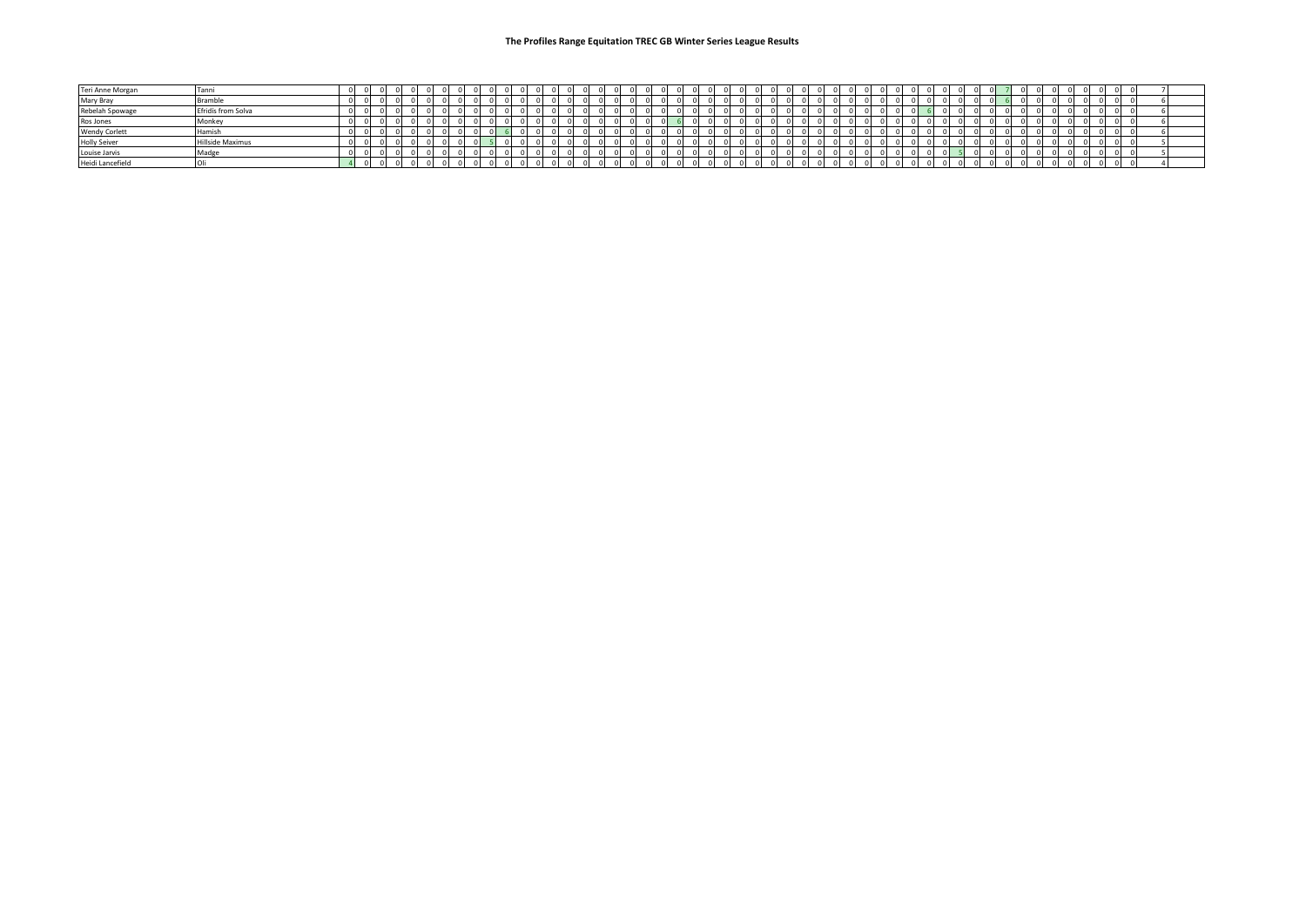| Teri Anne Morgan     | Tanni              |  |  |  |  |  |  |  |  |  |  |  |  |  |  |  |  |  |  | ΩL |  |  |  |  |  |  |
|----------------------|--------------------|--|--|--|--|--|--|--|--|--|--|--|--|--|--|--|--|--|--|----|--|--|--|--|--|--|
| Mary Bray            | Bramble            |  |  |  |  |  |  |  |  |  |  |  |  |  |  |  |  |  |  |    |  |  |  |  |  |  |
| Rebelah Spowage      | Efridís from Solva |  |  |  |  |  |  |  |  |  |  |  |  |  |  |  |  |  |  |    |  |  |  |  |  |  |
| Ros Jones            | Monkey             |  |  |  |  |  |  |  |  |  |  |  |  |  |  |  |  |  |  |    |  |  |  |  |  |  |
| <b>Wendy Corlett</b> | <b>Hamis</b>       |  |  |  |  |  |  |  |  |  |  |  |  |  |  |  |  |  |  |    |  |  |  |  |  |  |
| <b>Holly Seiver</b>  | Hillside Maximus   |  |  |  |  |  |  |  |  |  |  |  |  |  |  |  |  |  |  |    |  |  |  |  |  |  |
| Louise Jarvis        | Madge              |  |  |  |  |  |  |  |  |  |  |  |  |  |  |  |  |  |  |    |  |  |  |  |  |  |
| Heidi Lancefield     |                    |  |  |  |  |  |  |  |  |  |  |  |  |  |  |  |  |  |  |    |  |  |  |  |  |  |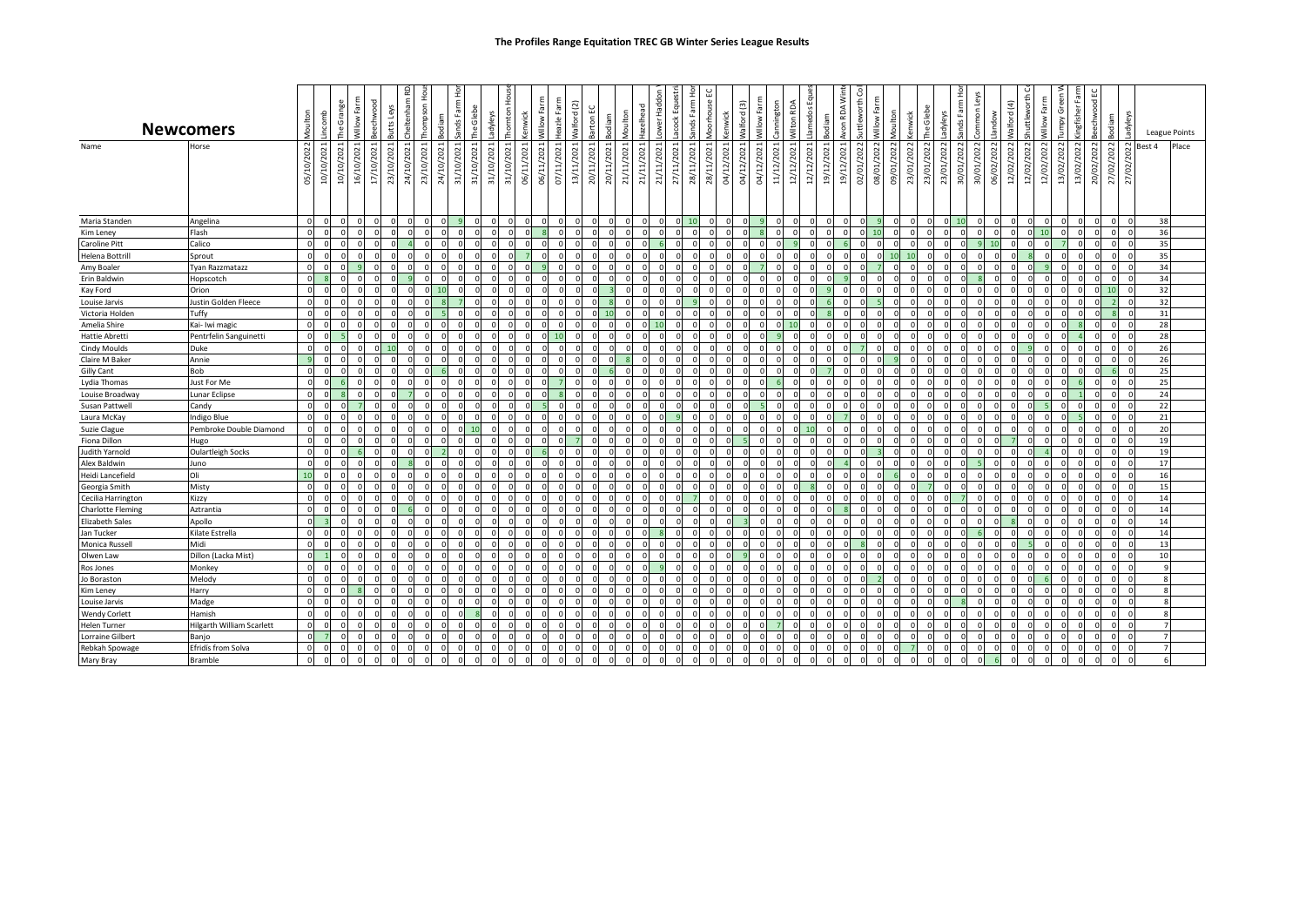|                          | <b>Newcomers</b>          | Aoult          | incomb     | The Grange   | Villow Farm | g         | 윤<br>heltenham<br>Leys<br>ť                                       | hompson Ho | odiam      | inds Farm      | Glebe<br>۹ē | <b>hornton</b> Hous<br>adyleys | wick         | Farm<br>$\mathsf{g}\vphantom{a}$ | Farm<br>leazle | Valford(2)   | arton <sub>EC</sub> | liton<br>ε                                            | azelhead   | ower Haddon | 효<br>οčκ   |          | loorhouse       | Valford(3)<br><b>cenwick</b> | Farm<br>$\mathbf{\tilde{s}}$<br>ŝ | cannington | Vilton RDA | lamedos Equ<br>odiam     | ≥<br>RDA <sup>'</sup> | uttleworth  | Farm<br>Villow | Moulton    | Glebe<br>vick<br>Ξ                | adyleys              | ands Farm Ho | mon        | ÷<br>$\pi$ | shuttleworth<br>Valford (4) | Villow Farm    | umpy Green | ingfisher Fa   | 2<br>eechwood | odiam        | adyleys    |        | League Points |
|--------------------------|---------------------------|----------------|------------|--------------|-------------|-----------|-------------------------------------------------------------------|------------|------------|----------------|-------------|--------------------------------|--------------|----------------------------------|----------------|--------------|---------------------|-------------------------------------------------------|------------|-------------|------------|----------|-----------------|------------------------------|-----------------------------------|------------|------------|--------------------------|-----------------------|-------------|----------------|------------|-----------------------------------|----------------------|--------------|------------|------------|-----------------------------|----------------|------------|----------------|---------------|--------------|------------|--------|---------------|
| Name                     | Horse                     | /10/2022<br>G) | 10/10/2021 | 10/10/2021   | 16/10/2021  | 17/10/202 | 24/10/2021<br>2021<br>$\overline{p}$<br>$\widetilde{\mathcal{E}}$ | 23/10/2021 | 24/10/2021 | 2021<br>31/10/ | 31/10/2021  | 31/10/2021<br>31/10/2021       | 06/11/2021   | 2021<br>ΈĻ<br>60                 | 07/11/2021     | 13/11/2021   | 20/11/2021          | S<br>202<br>21/11/<br>ਸ਼ੋ<br>$\widetilde{\mathrm{g}}$ | 21/11/2021 | 21/11/2021  | 27/11/2021 | 28/1     | 2021<br>28/11/2 | 04/12/2021<br>04/12/2021     | 202<br>04/12/                     | 11/12/2021 | 12/12/2021 | 12/12/2021<br>19/12/2021 | $\sim$<br>ி           | 02/01/202   | 08/01/2022     | 09/01/2022 | 2022<br>500<<br>23/01/2<br>23/01/ | 23/01/2022           | 30/01/2022   | 30/01/2022 | 06/02/     | 12/02/2022<br>202<br>12/02/ | 12/02/2022     | 13/02/2022 | 2022<br>13/02/ | 20/02/2022    | 27/02/2022   | 27/02/2022 | Best 4 | Place         |
| Maria Standen            | Angelina                  | $\Omega$       | $\Omega$   | $\Omega$     |             |           | $\Omega$                                                          |            |            |                | $\Omega$    | $\Omega$                       | $\Omega$     |                                  | $\mathbf{0}$   | $\Omega$     |                     |                                                       |            |             | $0$ 10     |          | $\Omega$        | $\Omega$                     |                                   |            | $\Omega$   |                          | $\Omega$              | $\mathbf 0$ |                |            |                                   | $\Omega$             | 10           |            | $\Omega$   | $\Omega$                    | $\overline{0}$ | $\circ$    |                | $\Omega$      |              |            | 38     |               |
| Kim Leney                | Flash                     | $\Omega$       |            |              |             |           |                                                                   |            |            |                |             |                                |              |                                  |                |              |                     |                                                       |            |             |            |          |                 |                              |                                   |            | $\Omega$   |                          |                       |             |                |            |                                   |                      |              |            | $\Omega$   |                             | $\Omega$<br>10 | $\Omega$   |                |               |              |            | 36     |               |
| <b>Caroline Pitt</b>     | Calico                    | $\Omega$       | $\Omega$   | $\Omega$     |             |           |                                                                   |            |            | $\Omega$       |             | $\Omega$                       | $\Omega$     | $\Omega$                         | $\Omega$       |              |                     | n                                                     |            |             |            | $\Omega$ |                 | $\Omega$                     | <sup>n</sup>                      |            |            |                          |                       |             | $\Omega$       |            |                                   | $\Omega$             |              |            | 10         | $\Omega$                    | $\Omega$       |            | $\Omega$       | $\Omega$      |              |            | 35     |               |
| Helena Bottrill          | Sprout                    | $\Omega$       |            | $\Omega$     |             |           |                                                                   |            |            |                |             | $\Omega$                       |              |                                  |                |              |                     | n                                                     |            |             |            |          |                 |                              |                                   |            |            |                          |                       |             | n              |            |                                   |                      |              |            | $\Omega$   |                             |                |            |                |               |              |            | 35     |               |
| Amy Boaler               | Tyan Razzmatazz           | $\Omega$       |            | $\Omega$     |             |           |                                                                   |            |            |                |             | $\Omega$                       |              |                                  |                |              |                     |                                                       |            |             |            |          |                 | $\Omega$                     |                                   |            |            |                          |                       |             |                |            |                                   | $\Omega$             |              |            | $\Omega$   |                             | $\Omega$       |            |                | $\Omega$      | $\sqrt{ }$   |            | 34     |               |
| Erin Baldwin             | Hopscotch                 | $\Omega$       |            | $\Omega$     |             |           |                                                                   |            |            | $\Omega$       | $\Omega$    | $\Omega$                       | n            | $\Omega$                         | $\Omega$       |              |                     | $\Omega$                                              |            |             |            |          |                 | $\Omega$                     | $\Omega$                          |            | $\Omega$   |                          |                       |             | $\Omega$       |            |                                   | $\Omega$             |              |            | $\Omega$   | $\Omega$                    | $\Omega$       | $\Omega$   | $\Omega$       | $\Omega$      | ſ            |            | 34     |               |
| Kay Ford                 | Orion                     | $\sqrt{ }$     |            | $\Omega$     |             |           |                                                                   |            |            |                |             | C                              |              |                                  |                |              |                     |                                                       |            |             |            |          |                 | $\mathcal{C}$                |                                   |            |            |                          |                       |             |                |            |                                   |                      |              |            | $\Omega$   |                             | $\Omega$       | $\Omega$   |                | $\Omega$      | 10           |            | 32     |               |
| Louise Jarvis            | Justin Golden Fleece      | $\Omega$       |            |              |             |           |                                                                   |            |            |                |             |                                | $\Omega$     |                                  |                |              |                     |                                                       |            |             |            |          |                 | $\Omega$                     |                                   |            |            |                          | n                     |             |                |            |                                   |                      |              |            | $\Omega$   | $\Omega$                    | $\Omega$       | $\Omega$   |                | $\Omega$      |              |            | 32     |               |
| Victoria Holden          | Tuffy                     | $\sqrt{2}$     |            |              |             |           |                                                                   |            |            |                |             |                                |              |                                  |                |              |                     |                                                       |            |             |            |          |                 |                              |                                   |            |            |                          |                       |             |                |            |                                   |                      |              |            |            |                             |                |            |                |               |              |            | 31     |               |
| Amelia Shire             | Kai- Iwi magic            | $\circ$        |            |              |             |           |                                                                   |            |            | $\Omega$       |             |                                |              |                                  |                |              |                     |                                                       |            |             |            |          |                 |                              |                                   |            | 10         |                          |                       |             |                |            |                                   |                      |              |            | $\Omega$   |                             |                | O          |                |               |              |            | 28     |               |
| Hattie Abretti           | Pentrfelin Sanguinetti    | $\circ$        |            |              |             |           |                                                                   |            |            | $\Omega$       | $\Omega$    | $\sqrt{ }$                     |              |                                  |                |              |                     |                                                       |            |             |            |          |                 | £                            |                                   |            |            |                          |                       |             |                |            |                                   |                      |              |            | $\Omega$   | $\Omega$                    | $\Omega$       |            |                | $\Omega$      |              |            | 28     |               |
| <b>Cindy Moulds</b>      | Duke                      | $\Omega$       | $\Omega$   | $\Omega$     |             |           |                                                                   |            |            |                | $\Omega$    | $\Omega$                       |              |                                  | $\Omega$       |              |                     | $\Omega$                                              |            |             |            |          |                 | $\Omega$                     |                                   |            | $\Omega$   |                          |                       |             |                |            |                                   | $\Omega$             |              |            | $\Omega$   |                             | <b>Q</b>       | $\Omega$   |                | $\Omega$      | $\Omega$     |            | 26     |               |
| Claire M Baker           | Annie                     | $\alpha$       |            |              |             |           |                                                                   |            |            |                |             |                                |              |                                  |                |              |                     |                                                       |            |             |            |          |                 |                              |                                   |            |            |                          |                       |             |                |            |                                   |                      |              |            |            |                             | $\Omega$       |            |                |               |              |            | 26     |               |
| <b>Gilly Cant</b>        | Bob                       | $\Omega$       |            | $\Omega$     |             |           |                                                                   |            |            |                |             | $\Omega$                       | $\Omega$     |                                  | $\Omega$       |              |                     |                                                       |            |             |            |          |                 | $\Omega$                     | $\Omega$                          |            |            |                          |                       |             | $\Omega$       |            |                                   |                      |              |            | $\Omega$   | $\Omega$                    | $\Omega$       | $\Omega$   | $\Omega$       | $\Omega$      |              |            | 25     |               |
| Lydia Thomas             | Just For Me               | $\Omega$       |            |              |             |           |                                                                   |            |            | $\Omega$       |             |                                | $\Omega$     |                                  |                | c            |                     |                                                       |            |             |            |          |                 | $\Omega$                     |                                   |            |            |                          |                       |             |                |            |                                   |                      |              |            | $\Omega$   |                             |                |            |                |               |              |            | 25     |               |
| Louise Broadway          | Lunar Eclipse             | $\Omega$       |            |              |             |           |                                                                   |            |            |                |             |                                |              |                                  |                |              |                     |                                                       |            |             |            |          |                 |                              |                                   |            |            |                          |                       |             |                |            |                                   |                      |              |            |            |                             | C              |            |                |               |              |            | 24     |               |
| Susan Pattwell           | Candy                     | $\sqrt{ }$     |            |              |             |           |                                                                   |            |            |                | O           | C                              |              |                                  |                |              |                     |                                                       |            |             |            |          |                 |                              |                                   |            |            |                          |                       |             |                |            |                                   |                      |              |            | $\Omega$   |                             |                |            |                |               |              |            | 22     |               |
| Laura McKay              | <b>Indigo Blue</b>        | $\Omega$       |            |              |             |           |                                                                   |            |            | $\Omega$       |             |                                | n            |                                  |                |              |                     |                                                       |            |             |            |          |                 |                              |                                   |            |            |                          |                       |             |                |            |                                   |                      |              |            | $\Omega$   |                             | $\Omega$       |            |                |               |              |            | 21     |               |
| Suzie Clague             | Pembroke Double Diamond   | $\Omega$       |            | $\Omega$     |             |           | $\Omega$                                                          |            |            | $\Omega$       |             | $\Omega$                       |              |                                  | $\Omega$       |              |                     | $\Omega$                                              |            |             |            |          | $\Omega$        | $\Omega$                     | $\Omega$                          |            |            |                          |                       |             | $\Omega$       |            |                                   |                      |              |            | $\Omega$   | $\Omega$                    | $\Omega$       |            |                | $\Omega$      | r            |            | 20     |               |
| Fiona Dillon             | Hugo                      | $\Omega$       | $\Omega$   | $\Omega$     |             |           | $\Omega$                                                          |            |            | $\Omega$       |             | $\Omega$                       | U            |                                  |                |              |                     |                                                       |            |             |            |          |                 | <b>C</b>                     |                                   |            | $\Omega$   |                          |                       |             |                |            |                                   | $\Omega$             |              |            |            |                             | $\Omega$       | $\Omega$   |                | $\Omega$      | $\Omega$     |            | 19     |               |
| Judith Yarnold           | <b>Oulartleigh Socks</b>  | $\circ$        |            | $\Omega$     |             |           | $\Omega$                                                          |            |            | $\Omega$       |             | $\Omega$                       |              |                                  | $\Omega$       |              |                     | $\Omega$                                              |            |             | $\Omega$   |          |                 | $\Omega$                     | $\Omega$                          |            | $\Omega$   |                          | $\Omega$              |             |                |            |                                   | $\Omega$             |              |            | $\Omega$   | $\Omega$                    | $\Omega$       | $\Omega$   | $\Omega$       | $\Omega$      | $\mathsf{C}$ |            | 19     |               |
| Alex Baldwin             | Juno                      | $\Omega$       |            | $\Omega$     |             |           |                                                                   |            |            |                | $\Omega$    | $\Omega$                       | <sup>n</sup> |                                  | $\Omega$       |              |                     | $\Omega$                                              |            |             |            |          |                 | $\Omega$<br>n                | $\Omega$                          |            |            |                          |                       |             |                |            |                                   | n                    |              |            | $\Omega$   | $\Omega$                    | $\Omega$       | $\Omega$   | $\Omega$       | $\Omega$      | $\Omega$     |            | 17     |               |
| Heidi Lancefield         | Oli                       | 10             |            |              |             |           |                                                                   |            |            |                |             |                                |              |                                  |                |              |                     |                                                       |            |             |            |          |                 |                              |                                   |            |            |                          |                       |             |                |            |                                   |                      |              |            | $\Omega$   |                             |                |            |                |               |              |            | 16     |               |
| Georgia Smith            | Misty                     | $\Omega$       |            | c            |             |           |                                                                   |            |            |                |             |                                |              |                                  |                |              |                     |                                                       |            |             |            |          |                 |                              |                                   |            |            |                          |                       |             |                |            |                                   |                      |              |            |            | n                           | $\sqrt{ }$     |            |                |               |              |            | 15     |               |
| Cecilia Harrington       | Kizzy                     | $\Omega$       |            |              |             |           |                                                                   |            |            | $\Omega$       |             |                                |              |                                  |                |              |                     |                                                       |            |             |            |          |                 |                              |                                   |            | $\Omega$   |                          |                       |             |                |            |                                   |                      |              |            | $\Omega$   |                             |                |            | $\Omega$       |               |              |            | 14     |               |
| <b>Charlotte Fleming</b> | Aztrantia                 | $\Omega$       |            | $\mathsf{r}$ |             |           |                                                                   |            |            | $\Omega$       |             |                                |              | $\Omega$                         |                |              |                     |                                                       |            |             |            |          |                 | $\mathbf{r}$                 |                                   |            |            |                          |                       |             |                |            |                                   |                      |              |            | $\Omega$   | $\Omega$                    | $\Omega$       |            | $\Omega$       | $\Omega$      |              |            | 14     |               |
| Elizabeth Sales          | Apollo                    | $\Omega$       |            | $\Omega$     |             |           |                                                                   |            |            |                | $\Omega$    | $\Omega$                       |              |                                  |                |              |                     | $\Omega$                                              |            |             |            |          |                 |                              | $\Omega$                          |            |            |                          |                       |             | $\Omega$       |            |                                   | $\Omega$             |              |            |            |                             | $\Omega$       |            | $\Omega$       | $\Omega$      | $\Omega$     |            | 14     |               |
| Jan Tucker               | Kilate Estrella           | $\circ$        |            | $\Omega$     |             |           | $\Omega$                                                          |            |            | $\Omega$       |             | $\Omega$                       | $\Omega$     | $\Omega$                         | $\Omega$       |              |                     |                                                       |            |             | $\Omega$   |          |                 | $\Omega$                     | $\Omega$                          |            | $\Omega$   |                          |                       |             | $\Omega$       |            |                                   | $\Omega$             |              |            | $\Omega$   | $\Omega$                    | $\Omega$       | ΩI         | $\Omega$       | $\Omega$      | $\Omega$     |            | 14     |               |
| Monica Russell           | Midi                      | $\Omega$       |            | $\Omega$     |             |           |                                                                   |            |            | $\Omega$       |             | $\Omega$                       | <sup>n</sup> |                                  |                |              |                     | $\Omega$                                              |            |             | $\Omega$   |          |                 | $\Omega$                     | $\Omega$                          |            |            |                          |                       |             | $\Omega$       |            |                                   |                      |              |            | $\Omega$   |                             |                |            |                | $\Omega$      |              |            | 13     |               |
| Olwen Law                | Dillon (Lacka Mist)       | $\Omega$       |            | n            |             |           |                                                                   |            |            |                |             |                                |              |                                  |                |              |                     |                                                       |            |             |            |          |                 |                              |                                   |            |            |                          |                       |             |                |            |                                   |                      |              |            | $\Omega$   |                             |                |            |                |               |              |            | 10     |               |
| Ros Jones                | Monkey                    | $\Omega$       |            | $\Omega$     |             |           |                                                                   |            |            | $\Omega$       |             |                                |              |                                  |                |              |                     |                                                       |            |             |            |          |                 | <b>C</b>                     |                                   |            |            |                          | n                     |             |                |            |                                   |                      |              |            | $\Omega$   | $\Omega$                    | $\Omega$       |            |                | $\Omega$      |              |            |        |               |
| Jo Boraston              | Melody                    | $\Omega$       |            | ſ            |             |           |                                                                   |            |            |                | $\Omega$    | $\Omega$                       |              |                                  |                |              |                     |                                                       |            |             |            |          |                 |                              |                                   |            |            |                          |                       |             |                |            |                                   |                      |              |            | $\Omega$   |                             |                | $\Omega$   |                |               |              |            |        |               |
| <b>Kim Lenev</b>         | Harry                     | $\Omega$       | $\Omega$   | $\Omega$     |             |           | $\Omega$<br>$\Omega$                                              |            |            | $\Omega$       | $\Omega$    | $\Omega$                       | $\Omega$     | $\Omega$                         | $\Omega$       | $\mathsf{r}$ |                     |                                                       |            |             | $\Omega$   | $\Omega$ | $\Omega$        | $\Omega$                     | $\Omega$                          | $\Omega$   | $\Omega$   |                          | $\Omega$              | $\Omega$    | $\Omega$       |            |                                   | $\Omega$<br>$\Omega$ |              |            | $\Omega$   | $\Omega$                    | $\Omega$       | $\Omega$   | $\Omega$       | $\Omega$      | ſ            |            | 8      |               |
| Louise Jarvis            | Madge                     | $\Omega$       |            | $\mathsf{C}$ |             |           |                                                                   |            |            | $\Omega$       |             |                                |              |                                  |                |              |                     |                                                       |            |             |            |          |                 |                              |                                   |            |            |                          |                       |             |                |            |                                   |                      |              |            | $\Omega$   |                             | $\sqrt{ }$     |            | $\Omega$       |               |              |            |        |               |
| <b>Wendy Corlett</b>     | Hamish                    | $\Omega$       | $\Omega$   | $\Omega$     |             |           | $\Omega$                                                          |            |            |                |             | $\Omega$                       | $\Omega$     | $\Omega$                         | $\Omega$       | $\Omega$     |                     | $\Omega$                                              |            |             | $\Omega$   |          | $\Omega$        | $\Omega$                     | $\Omega$                          |            | $\Omega$   | $\Omega$                 | $\Omega$<br>$\Omega$  |             | $\Omega$       |            |                                   | $\Omega$             | $\epsilon$   |            | $\Omega$   | $\Omega$                    | $\Omega$       | $\Omega$   | $\Omega$       | $\Omega$      | $\Omega$     |            |        |               |
| <b>Helen Turner</b>      | Hilgarth William Scarlett | $\Omega$       | $\Omega$   | $\Omega$     |             |           | $\Omega$                                                          |            |            | n              | $\Omega$    | $\Omega$                       | $\Omega$     | $\Omega$                         | $\Omega$       |              |                     | n                                                     |            |             | n          |          |                 | $\Omega$                     | $\Omega$                          |            | $\Omega$   | c                        |                       |             | $\Omega$       |            |                                   | $\Omega$             |              |            | $\Omega$   | $\Omega$                    | $\Omega$       | $\Omega$   | $\Omega$       | $\Omega$      | $\mathsf{r}$ |            |        |               |
| Lorraine Gilbert         | Banjo                     | $\Omega$       |            | $\Omega$     |             |           |                                                                   |            |            |                |             | $\Omega$                       |              |                                  |                |              |                     | $\Omega$                                              |            |             |            |          |                 | $\mathcal{L}$                | $\Omega$                          |            |            |                          | $\Omega$              |             | $\Omega$       |            |                                   |                      |              |            | $\Omega$   |                             | $\Omega$       | $\Omega$   | $\Omega$       | $\Omega$      | $\Omega$     |            |        |               |
| Rebkah Spowage           | Efridís from Solva        | $\Omega$       | $\Omega$   |              |             |           |                                                                   |            |            | $\Omega$       |             |                                | n            |                                  |                |              |                     |                                                       |            |             |            |          |                 | <b>C</b>                     |                                   |            |            |                          | $\Omega$<br>$\Omega$  |             |                |            |                                   |                      |              |            | $\Omega$   |                             | $\Omega$       | $\Omega$   | $\Omega$       | $\Omega$      | $\sqrt{ }$   |            |        |               |
| Mary Bray                | Bramble                   | $\circ$        | $\Omega$   | $\Omega$     |             |           |                                                                   |            |            | $\Omega$       | $\Omega$    | $\Omega$                       |              |                                  |                |              |                     |                                                       |            |             |            |          |                 |                              |                                   |            |            |                          |                       |             |                |            |                                   |                      |              |            |            |                             | $\Omega$       |            |                |               |              |            |        |               |